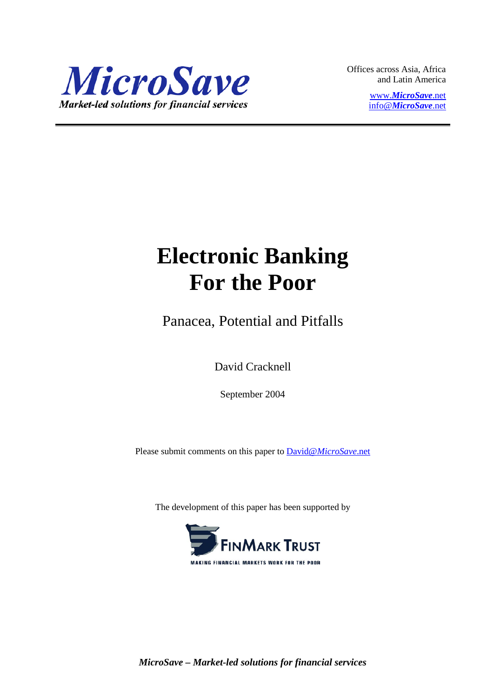

Offices across Asia, Africa and Latin America

> www.*[MicroSave](http://www.microsave.net/)*.net info@*[MicroSave](mailto:info@MicroSave.net)*.net

# **Electronic Banking For the Poor**

Panacea, Potential and Pitfalls

David Cracknell

September 2004

Please submit comments on this paper to David@*[MicroSave](mailto:David@MicroSave.net)*.net

The development of this paper has been supported by

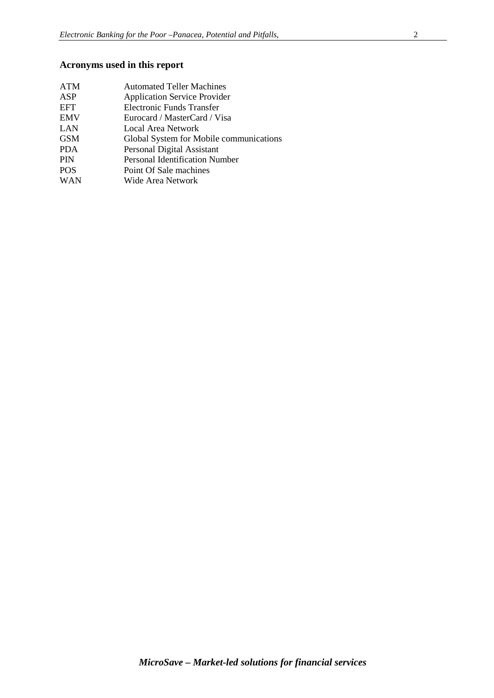# **Acronyms used in this report**

| ATM        | <b>Automated Teller Machines</b>        |
|------------|-----------------------------------------|
| ASP        | <b>Application Service Provider</b>     |
| EFT        | Electronic Funds Transfer               |
| EMV        | Eurocard / MasterCard / Visa            |
| LAN        | <b>Local Area Network</b>               |
| <b>GSM</b> | Global System for Mobile communications |
| PDA        | Personal Digital Assistant              |
| PIN        | <b>Personal Identification Number</b>   |
| <b>POS</b> | Point Of Sale machines                  |
| <b>WAN</b> | Wide Area Network                       |
|            |                                         |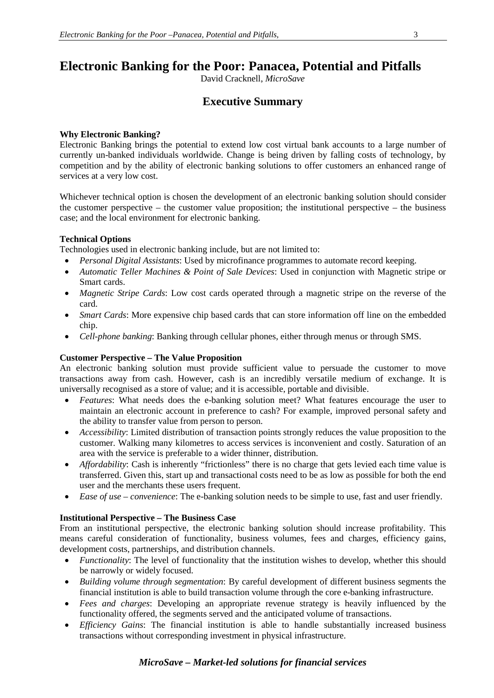# **Electronic Banking for the Poor: Panacea, Potential and Pitfalls**

David Cracknell, *MicroSave*

# **Executive Summary**

## **Why Electronic Banking?**

Electronic Banking brings the potential to extend low cost virtual bank accounts to a large number of currently un-banked individuals worldwide. Change is being driven by falling costs of technology, by competition and by the ability of electronic banking solutions to offer customers an enhanced range of services at a very low cost.

Whichever technical option is chosen the development of an electronic banking solution should consider the customer perspective – the customer value proposition; the institutional perspective – the business case; and the local environment for electronic banking.

## **Technical Options**

Technologies used in electronic banking include, but are not limited to:

- *Personal Digital Assistants*: Used by microfinance programmes to automate record keeping.
- *Automatic Teller Machines & Point of Sale Devices*: Used in conjunction with Magnetic stripe or Smart cards.
- *Magnetic Stripe Cards*: Low cost cards operated through a magnetic stripe on the reverse of the card.
- *Smart Cards*: More expensive chip based cards that can store information off line on the embedded chip.
- *Cell-phone banking*: Banking through cellular phones, either through menus or through SMS.

# **Customer Perspective – The Value Proposition**

An electronic banking solution must provide sufficient value to persuade the customer to move transactions away from cash. However, cash is an incredibly versatile medium of exchange. It is universally recognised as a store of value; and it is accessible, portable and divisible.

- *Features*: What needs does the e-banking solution meet? What features encourage the user to maintain an electronic account in preference to cash? For example, improved personal safety and the ability to transfer value from person to person.
- *Accessibility*: Limited distribution of transaction points strongly reduces the value proposition to the customer. Walking many kilometres to access services is inconvenient and costly. Saturation of an area with the service is preferable to a wider thinner, distribution.
- *Affordability*: Cash is inherently "frictionless" there is no charge that gets levied each time value is transferred. Given this, start up and transactional costs need to be as low as possible for both the end user and the merchants these users frequent.
- *Ease of use – convenience*: The e-banking solution needs to be simple to use, fast and user friendly.

## **Institutional Perspective – The Business Case**

From an institutional perspective, the electronic banking solution should increase profitability. This means careful consideration of functionality, business volumes, fees and charges, efficiency gains, development costs, partnerships, and distribution channels.

- *Functionality*: The level of functionality that the institution wishes to develop, whether this should be narrowly or widely focused.
- *Building volume through segmentation*: By careful development of different business segments the financial institution is able to build transaction volume through the core e-banking infrastructure.
- *Fees and charges*: Developing an appropriate revenue strategy is heavily influenced by the functionality offered, the segments served and the anticipated volume of transactions.
- *Efficiency Gains*: The financial institution is able to handle substantially increased business transactions without corresponding investment in physical infrastructure.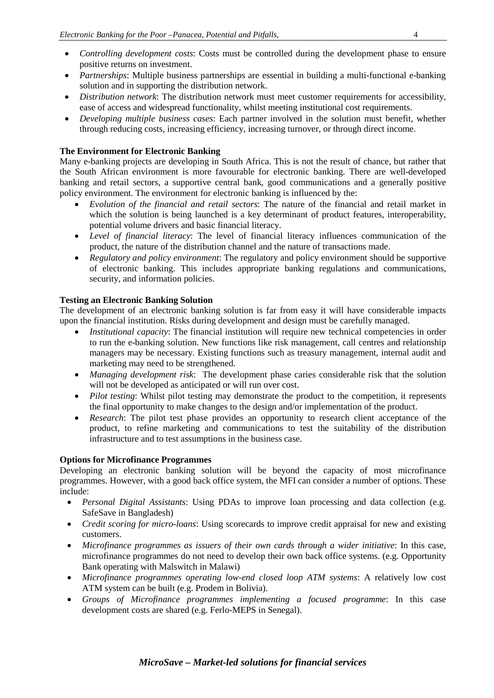- *Controlling development costs*: Costs must be controlled during the development phase to ensure positive returns on investment.
- *Partnerships*: Multiple business partnerships are essential in building a multi-functional e-banking solution and in supporting the distribution network.
- *Distribution network*: The distribution network must meet customer requirements for accessibility, ease of access and widespread functionality, whilst meeting institutional cost requirements.
- *Developing multiple business cases*: Each partner involved in the solution must benefit, whether through reducing costs, increasing efficiency, increasing turnover, or through direct income.

# **The Environment for Electronic Banking**

Many e-banking projects are developing in South Africa. This is not the result of chance, but rather that the South African environment is more favourable for electronic banking. There are well-developed banking and retail sectors, a supportive central bank, good communications and a generally positive policy environment. The environment for electronic banking is influenced by the:

- *Evolution of the financial and retail sectors*: The nature of the financial and retail market in which the solution is being launched is a key determinant of product features, interoperability, potential volume drivers and basic financial literacy.
- *Level of financial literacy*: The level of financial literacy influences communication of the product, the nature of the distribution channel and the nature of transactions made.
- *Regulatory and policy environment*: The regulatory and policy environment should be supportive of electronic banking. This includes appropriate banking regulations and communications, security, and information policies.

# **Testing an Electronic Banking Solution**

The development of an electronic banking solution is far from easy it will have considerable impacts upon the financial institution. Risks during development and design must be carefully managed.

- *Institutional capacity*: The financial institution will require new technical competencies in order to run the e-banking solution. New functions like risk management, call centres and relationship managers may be necessary. Existing functions such as treasury management, internal audit and marketing may need to be strengthened.
- *Managing development risk*: The development phase caries considerable risk that the solution will not be developed as anticipated or will run over cost.
- *Pilot testing*: Whilst pilot testing may demonstrate the product to the competition, it represents the final opportunity to make changes to the design and/or implementation of the product.
- *Research*: The pilot test phase provides an opportunity to research client acceptance of the product, to refine marketing and communications to test the suitability of the distribution infrastructure and to test assumptions in the business case.

## **Options for Microfinance Programmes**

Developing an electronic banking solution will be beyond the capacity of most microfinance programmes. However, with a good back office system, the MFI can consider a number of options. These include:

- *Personal Digital Assistants*: Using PDAs to improve loan processing and data collection (e.g. SafeSave in Bangladesh)
- *Credit scoring for micro-loans*: Using scorecards to improve credit appraisal for new and existing customers.
- *Microfinance programmes as issuers of their own cards through a wider initiative*: In this case, microfinance programmes do not need to develop their own back office systems. (e.g. Opportunity Bank operating with Malswitch in Malawi)
- *Microfinance programmes operating low-end closed loop ATM systems*: A relatively low cost ATM system can be built (e.g. Prodem in Bolivia).
- *Groups of Microfinance programmes implementing a focused programme*: In this case development costs are shared (e.g. Ferlo-MEPS in Senegal).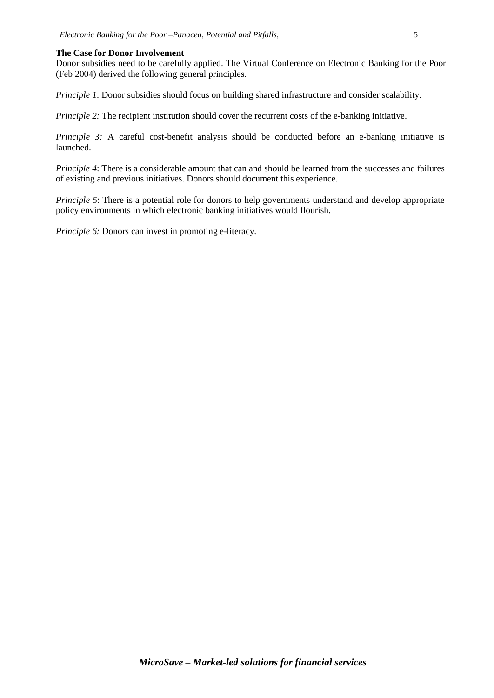#### **The Case for Donor Involvement**

Donor subsidies need to be carefully applied. The Virtual Conference on Electronic Banking for the Poor (Feb 2004) derived the following general principles.

*Principle 1*: Donor subsidies should focus on building shared infrastructure and consider scalability.

*Principle 2:* The recipient institution should cover the recurrent costs of the e-banking initiative.

*Principle 3:* A careful cost-benefit analysis should be conducted before an e-banking initiative is launched.

*Principle 4*: There is a considerable amount that can and should be learned from the successes and failures of existing and previous initiatives. Donors should document this experience.

*Principle 5*: There is a potential role for donors to help governments understand and develop appropriate policy environments in which electronic banking initiatives would flourish.

*Principle 6:* Donors can invest in promoting e-literacy.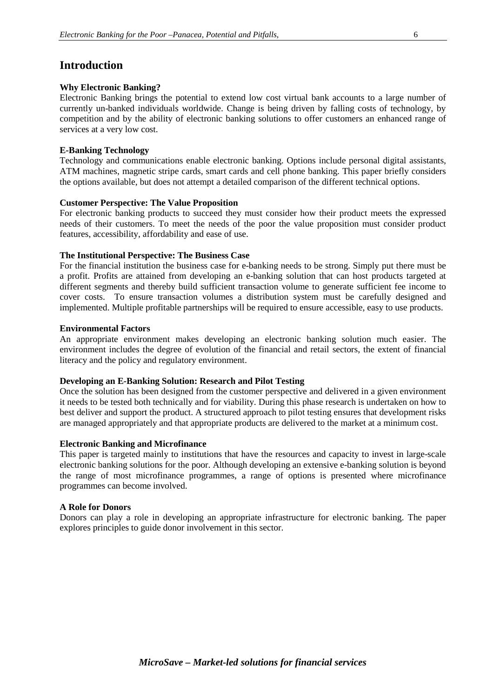# **Introduction**

#### **Why Electronic Banking?**

Electronic Banking brings the potential to extend low cost virtual bank accounts to a large number of currently un-banked individuals worldwide. Change is being driven by falling costs of technology, by competition and by the ability of electronic banking solutions to offer customers an enhanced range of services at a very low cost.

#### **E-Banking Technology**

Technology and communications enable electronic banking. Options include personal digital assistants, ATM machines, magnetic stripe cards, smart cards and cell phone banking. This paper briefly considers the options available, but does not attempt a detailed comparison of the different technical options.

#### **Customer Perspective: The Value Proposition**

For electronic banking products to succeed they must consider how their product meets the expressed needs of their customers. To meet the needs of the poor the value proposition must consider product features, accessibility, affordability and ease of use.

#### **The Institutional Perspective: The Business Case**

For the financial institution the business case for e-banking needs to be strong. Simply put there must be a profit. Profits are attained from developing an e-banking solution that can host products targeted at different segments and thereby build sufficient transaction volume to generate sufficient fee income to cover costs. To ensure transaction volumes a distribution system must be carefully designed and implemented. Multiple profitable partnerships will be required to ensure accessible, easy to use products.

#### **Environmental Factors**

An appropriate environment makes developing an electronic banking solution much easier. The environment includes the degree of evolution of the financial and retail sectors, the extent of financial literacy and the policy and regulatory environment.

#### **Developing an E-Banking Solution: Research and Pilot Testing**

Once the solution has been designed from the customer perspective and delivered in a given environment it needs to be tested both technically and for viability. During this phase research is undertaken on how to best deliver and support the product. A structured approach to pilot testing ensures that development risks are managed appropriately and that appropriate products are delivered to the market at a minimum cost.

#### **Electronic Banking and Microfinance**

This paper is targeted mainly to institutions that have the resources and capacity to invest in large-scale electronic banking solutions for the poor. Although developing an extensive e-banking solution is beyond the range of most microfinance programmes, a range of options is presented where microfinance programmes can become involved.

#### **A Role for Donors**

Donors can play a role in developing an appropriate infrastructure for electronic banking. The paper explores principles to guide donor involvement in this sector.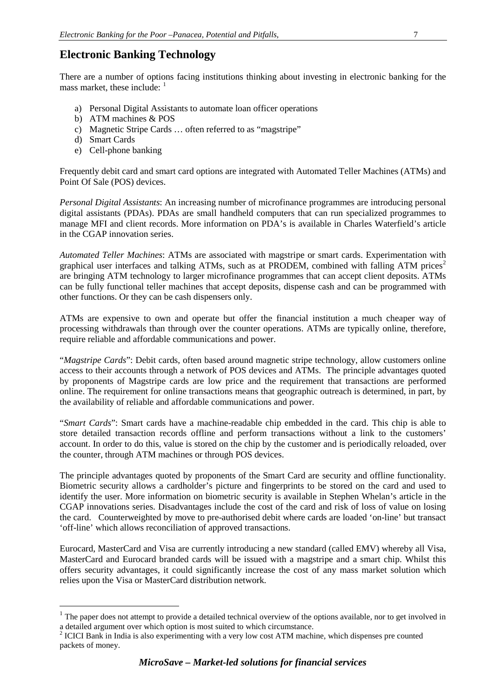# **Electronic Banking Technology**

There are a number of options facing institutions thinking about investing in electronic banking for the mass market, these include: <sup>[1](#page-6-0)</sup>

- a) Personal Digital Assistants to automate loan officer operations
- b) ATM machines & POS
- c) Magnetic Stripe Cards … often referred to as "magstripe"
- d) Smart Cards
- e) Cell-phone banking

Frequently debit card and smart card options are integrated with Automated Teller Machines (ATMs) and Point Of Sale (POS) devices.

*Personal Digital Assistants*: An increasing number of microfinance programmes are introducing personal digital assistants (PDAs). PDAs are small handheld computers that can run specialized programmes to manage MFI and client records. More information on PDA's is available in Charles Waterfield's article in the CGAP innovation series.

*Automated Teller Machines*: ATMs are associated with magstripe or smart cards. Experimentation with graphical user interfaces and talking ATMs, such as at PRODEM, combined with falling ATM prices<sup>[2](#page-6-1)</sup> are bringing ATM technology to larger microfinance programmes that can accept client deposits. ATMs can be fully functional teller machines that accept deposits, dispense cash and can be programmed with other functions. Or they can be cash dispensers only.

ATMs are expensive to own and operate but offer the financial institution a much cheaper way of processing withdrawals than through over the counter operations. ATMs are typically online, therefore, require reliable and affordable communications and power.

"*Magstripe Cards*": Debit cards, often based around magnetic stripe technology, allow customers online access to their accounts through a network of POS devices and ATMs. The principle advantages quoted by proponents of Magstripe cards are low price and the requirement that transactions are performed online. The requirement for online transactions means that geographic outreach is determined, in part, by the availability of reliable and affordable communications and power.

"*Smart Cards*": Smart cards have a machine-readable chip embedded in the card. This chip is able to store detailed transaction records offline and perform transactions without a link to the customers' account. In order to do this, value is stored on the chip by the customer and is periodically reloaded, over the counter, through ATM machines or through POS devices.

The principle advantages quoted by proponents of the Smart Card are security and offline functionality. Biometric security allows a cardholder's picture and fingerprints to be stored on the card and used to identify the user. More information on biometric security is available in Stephen Whelan's article in the CGAP innovations series. Disadvantages include the cost of the card and risk of loss of value on losing the card. Counterweighted by move to pre-authorised debit where cards are loaded 'on-line' but transact 'off-line' which allows reconciliation of approved transactions.

Eurocard, MasterCard and Visa are currently introducing a new standard (called EMV) whereby all Visa, MasterCard and Eurocard branded cards will be issued with a magstripe and a smart chip. Whilst this offers security advantages, it could significantly increase the cost of any mass market solution which relies upon the Visa or MasterCard distribution network.

<span id="page-6-0"></span> $1$  The paper does not attempt to provide a detailed technical overview of the options available, nor to get involved in a detailed argument over which option is most suited to which circumstance.<br><sup>2</sup> ICICI Bank in India is also experimenting with a very low cost ATM machine, which dispenses pre counted

<span id="page-6-1"></span>packets of money.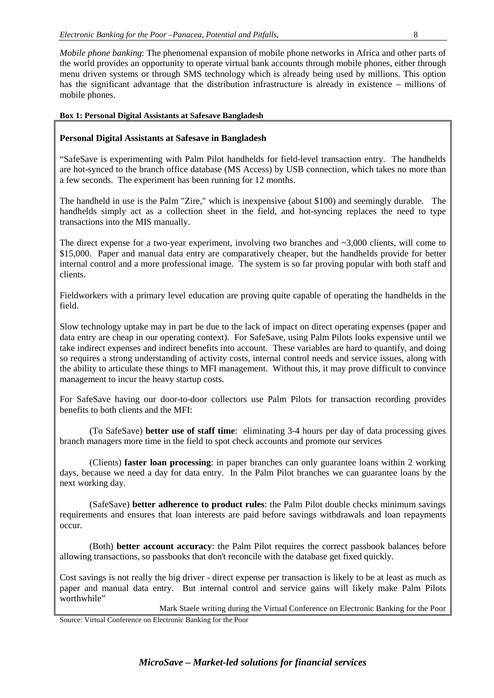*Mobile phone banking*: The phenomenal expansion of mobile phone networks in Africa and other parts of the world provides an opportunity to operate virtual bank accounts through mobile phones, either through menu driven systems or through SMS technology which is already being used by millions. This option has the significant advantage that the distribution infrastructure is already in existence – millions of mobile phones.

# **Box 1: Personal Digital Assistants at Safesave Bangladesh**

## **Personal Digital Assistants at Safesave in Bangladesh**

"SafeSave is experimenting with Palm Pilot handhelds for field-level transaction entry. The handhelds are hot-synced to the branch office database (MS Access) by USB connection, which takes no more than a few seconds. The experiment has been running for 12 months.

The handheld in use is the Palm "Zire," which is inexpensive (about \$100) and seemingly durable. The handhelds simply act as a collection sheet in the field, and hot-syncing replaces the need to type transactions into the MIS manually.

The direct expense for a two-year experiment, involving two branches and ~3,000 clients, will come to \$15,000. Paper and manual data entry are comparatively cheaper, but the handhelds provide for better internal control and a more professional image. The system is so far proving popular with both staff and clients.

Fieldworkers with a primary level education are proving quite capable of operating the handhelds in the field.

Slow technology uptake may in part be due to the lack of impact on direct operating expenses (paper and data entry are cheap in our operating context). For SafeSave, using Palm Pilots looks expensive until we take indirect expenses and indirect benefits into account. These variables are hard to quantify, and doing so requires a strong understanding of activity costs, internal control needs and service issues, along with the ability to articulate these things to MFI management. Without this, it may prove difficult to convince management to incur the heavy startup costs.

For SafeSave having our door-to-door collectors use Palm Pilots for transaction recording provides benefits to both clients and the MFI:

(To SafeSave) **better use of staff time**: eliminating 3-4 hours per day of data processing gives branch managers more time in the field to spot check accounts and promote our services

(Clients) **faster loan processing**: in paper branches can only guarantee loans within 2 working days, because we need a day for data entry. In the Palm Pilot branches we can guarantee loans by the next working day.

(SafeSave) **better adherence to product rules**: the Palm Pilot double checks minimum savings requirements and ensures that loan interests are paid before savings withdrawals and loan repayments occur.

(Both) **better account accuracy**: the Palm Pilot requires the correct passbook balances before allowing transactions, so passbooks that don't reconcile with the database get fixed quickly.

Cost savings is not really the big driver - direct expense per transaction is likely to be at least as much as paper and manual data entry. But internal control and service gains will likely make Palm Pilots worthwhile"

Mark Staele writing during the Virtual Conference on Electronic Banking for the Poor

Source: Virtual Conference on Electronic Banking for the Poor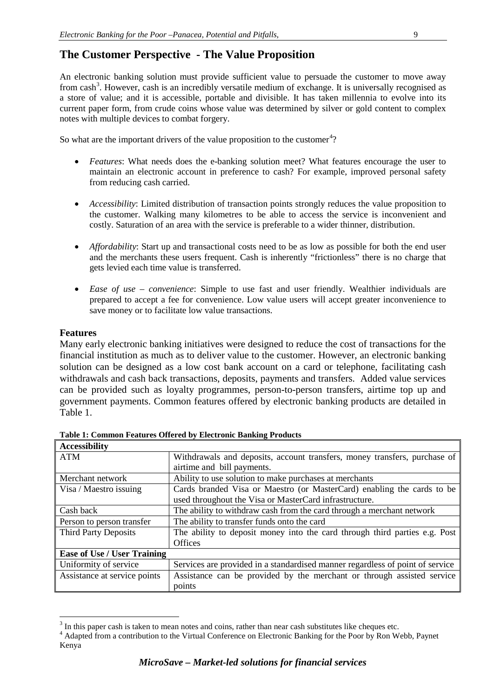# **The Customer Perspective - The Value Proposition**

An electronic banking solution must provide sufficient value to persuade the customer to move away from cash<sup>[3](#page-8-0)</sup>. However, cash is an incredibly versatile medium of exchange. It is universally recognised as a store of value; and it is accessible, portable and divisible. It has taken millennia to evolve into its current paper form, from crude coins whose value was determined by silver or gold content to complex notes with multiple devices to combat forgery.

So what are the important drivers of the value proposition to the customer<sup>[4](#page-8-1)</sup>?

- *Features*: What needs does the e-banking solution meet? What features encourage the user to maintain an electronic account in preference to cash? For example, improved personal safety from reducing cash carried.
- *Accessibility*: Limited distribution of transaction points strongly reduces the value proposition to the customer. Walking many kilometres to be able to access the service is inconvenient and costly. Saturation of an area with the service is preferable to a wider thinner, distribution.
- *Affordability*: Start up and transactional costs need to be as low as possible for both the end user and the merchants these users frequent. Cash is inherently "frictionless" there is no charge that gets levied each time value is transferred.
- *Ease of use – convenience*: Simple to use fast and user friendly. Wealthier individuals are prepared to accept a fee for convenience. Low value users will accept greater inconvenience to save money or to facilitate low value transactions.

# **Features**

Many early electronic banking initiatives were designed to reduce the cost of transactions for the financial institution as much as to deliver value to the customer. However, an electronic banking solution can be designed as a low cost bank account on a card or telephone, facilitating cash withdrawals and cash back transactions, deposits, payments and transfers. Added value services can be provided such as loyalty programmes, person-to-person transfers, airtime top up and government payments. Common features offered by electronic banking products are detailed in Table 1.

| <b>Accessibility</b>               |                                                                               |
|------------------------------------|-------------------------------------------------------------------------------|
| <b>ATM</b>                         | Withdrawals and deposits, account transfers, money transfers, purchase of     |
|                                    | airtime and bill payments.                                                    |
| Merchant network                   | Ability to use solution to make purchases at merchants                        |
| Visa / Maestro issuing             | Cards branded Visa or Maestro (or MasterCard) enabling the cards to be        |
|                                    | used throughout the Visa or MasterCard infrastructure.                        |
| Cash back                          | The ability to withdraw cash from the card through a merchant network         |
| Person to person transfer          | The ability to transfer funds onto the card                                   |
| <b>Third Party Deposits</b>        | The ability to deposit money into the card through third parties e.g. Post    |
|                                    | <b>Offices</b>                                                                |
| <b>Ease of Use / User Training</b> |                                                                               |
| Uniformity of service              | Services are provided in a standardised manner regardless of point of service |
| Assistance at service points       | Assistance can be provided by the merchant or through assisted service        |
|                                    | points                                                                        |

<span id="page-8-1"></span><span id="page-8-0"></span> $3 \text{ In this paper cash is taken to mean notes and coins, rather than near cash substitutes like cheapest etc.}\n\n<sup>4</sup> Adapted from a contribution to the Virtual Conference on Electronic Banks for the Poor by Ron Webb, Paynet$ Kenya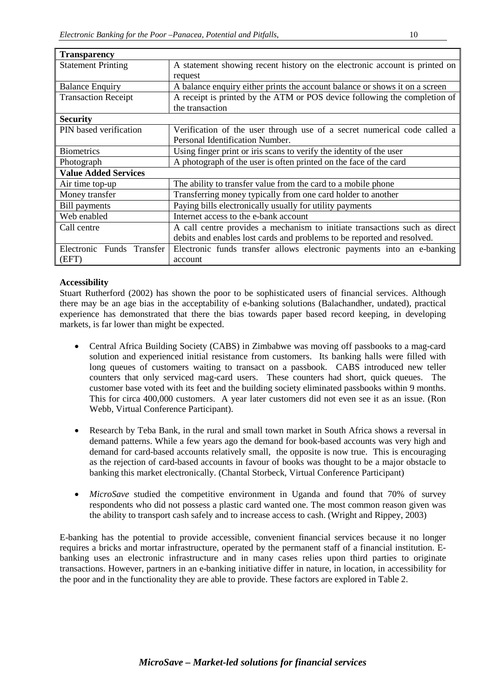| <b>Transparency</b>         |                                                                             |  |  |
|-----------------------------|-----------------------------------------------------------------------------|--|--|
| <b>Statement Printing</b>   | A statement showing recent history on the electronic account is printed on  |  |  |
|                             | request                                                                     |  |  |
| <b>Balance Enquiry</b>      | A balance enquiry either prints the account balance or shows it on a screen |  |  |
| <b>Transaction Receipt</b>  | A receipt is printed by the ATM or POS device following the completion of   |  |  |
|                             | the transaction                                                             |  |  |
| <b>Security</b>             |                                                                             |  |  |
| PIN based verification      | Verification of the user through use of a secret numerical code called a    |  |  |
|                             | Personal Identification Number.                                             |  |  |
| <b>Biometrics</b>           | Using finger print or iris scans to verify the identity of the user         |  |  |
| Photograph                  | A photograph of the user is often printed on the face of the card           |  |  |
| <b>Value Added Services</b> |                                                                             |  |  |
| Air time top-up             | The ability to transfer value from the card to a mobile phone               |  |  |
| Money transfer              | Transferring money typically from one card holder to another                |  |  |
| <b>Bill payments</b>        | Paying bills electronically usually for utility payments                    |  |  |
| Web enabled                 | Internet access to the e-bank account                                       |  |  |
| Call centre                 | A call centre provides a mechanism to initiate transactions such as direct  |  |  |
|                             | debits and enables lost cards and problems to be reported and resolved.     |  |  |
| Electronic Funds Transfer   | Electronic funds transfer allows electronic payments into an e-banking      |  |  |
| (EFT)                       | account                                                                     |  |  |

# **Accessibility**

Stuart Rutherford (2002) has shown the poor to be sophisticated users of financial services. Although there may be an age bias in the acceptability of e-banking solutions (Balachandher, undated), practical experience has demonstrated that there the bias towards paper based record keeping, in developing markets, is far lower than might be expected.

- Central Africa Building Society (CABS) in Zimbabwe was moving off passbooks to a mag-card solution and experienced initial resistance from customers. Its banking halls were filled with long queues of customers waiting to transact on a passbook. CABS introduced new teller counters that only serviced mag-card users. These counters had short, quick queues. The customer base voted with its feet and the building society eliminated passbooks within 9 months. This for circa 400,000 customers. A year later customers did not even see it as an issue. (Ron Webb, Virtual Conference Participant).
- Research by Teba Bank, in the rural and small town market in South Africa shows a reversal in demand patterns. While a few years ago the demand for book-based accounts was very high and demand for card-based accounts relatively small, the opposite is now true. This is encouraging as the rejection of card-based accounts in favour of books was thought to be a major obstacle to banking this market electronically. (Chantal Storbeck, Virtual Conference Participant)
- *MicroSave* studied the competitive environment in Uganda and found that 70% of survey respondents who did not possess a plastic card wanted one. The most common reason given was the ability to transport cash safely and to increase access to cash. (Wright and Rippey, 2003)

E-banking has the potential to provide accessible, convenient financial services because it no longer requires a bricks and mortar infrastructure, operated by the permanent staff of a financial institution. Ebanking uses an electronic infrastructure and in many cases relies upon third parties to originate transactions. However, partners in an e-banking initiative differ in nature, in location, in accessibility for the poor and in the functionality they are able to provide. These factors are explored in Table 2.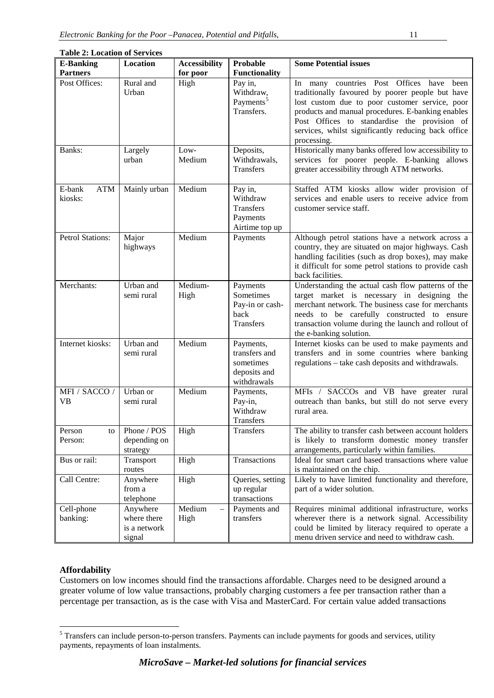| <b>Table 2: Location of Services</b> |                                                   |                      |                                                                        |                                                                                                                                                                                                                                                                                                                           |
|--------------------------------------|---------------------------------------------------|----------------------|------------------------------------------------------------------------|---------------------------------------------------------------------------------------------------------------------------------------------------------------------------------------------------------------------------------------------------------------------------------------------------------------------------|
| <b>E-Banking</b>                     | Location                                          | <b>Accessibility</b> | Probable                                                               | <b>Some Potential issues</b>                                                                                                                                                                                                                                                                                              |
| <b>Partners</b>                      |                                                   | for poor             | <b>Functionality</b>                                                   |                                                                                                                                                                                                                                                                                                                           |
| Post Offices:                        | Rural and<br>Urban                                | High                 | Pay in,<br>Withdraw,<br>Payments <sup>5</sup><br>Transfers.            | In many countries Post Offices have been<br>traditionally favoured by poorer people but have<br>lost custom due to poor customer service, poor<br>products and manual procedures. E-banking enables<br>Post Offices to standardise the provision of<br>services, whilst significantly reducing back office<br>processing. |
| Banks:                               | Largely<br>urban                                  | Low-<br>Medium       | Deposits,<br>Withdrawals,<br><b>Transfers</b>                          | Historically many banks offered low accessibility to<br>services for poorer people. E-banking allows<br>greater accessibility through ATM networks.                                                                                                                                                                       |
| E-bank<br>ATM<br>kiosks:             | Mainly urban                                      | Medium               | Pay in,<br>Withdraw<br>Transfers<br>Payments<br>Airtime top up         | Staffed ATM kiosks allow wider provision of<br>services and enable users to receive advice from<br>customer service staff.                                                                                                                                                                                                |
| <b>Petrol Stations:</b>              | Major<br>highways                                 | Medium               | Payments                                                               | Although petrol stations have a network across a<br>country, they are situated on major highways. Cash<br>handling facilities (such as drop boxes), may make<br>it difficult for some petrol stations to provide cash<br>back facilities.                                                                                 |
| Merchants:                           | Urban and<br>semi rural                           | Medium-<br>High      | Payments<br>Sometimes<br>Pay-in or cash-<br>back<br><b>Transfers</b>   | Understanding the actual cash flow patterns of the<br>target market is necessary in designing the<br>merchant network. The business case for merchants<br>needs to be carefully constructed to ensure<br>transaction volume during the launch and rollout of<br>the e-banking solution.                                   |
| Internet kiosks:                     | Urban and<br>semi rural                           | Medium               | Payments,<br>transfers and<br>sometimes<br>deposits and<br>withdrawals | Internet kiosks can be used to make payments and<br>transfers and in some countries where banking<br>regulations - take cash deposits and withdrawals.                                                                                                                                                                    |
| MFI / SACCO /<br><b>VB</b>           | Urban or<br>semi rural                            | Medium               | Payments,<br>Pay-in,<br>Withdraw<br>Transfers                          | MFIs / SACCOs and VB have greater rural<br>outreach than banks, but still do not serve every<br>rural area.                                                                                                                                                                                                               |
| Person<br>to<br>Person:              | Phone / POS<br>depending on<br>strategy           | High                 | Transfers                                                              | The ability to transfer cash between account holders<br>is likely to transform domestic money transfer<br>arrangements, particularly within families.                                                                                                                                                                     |
| Bus or rail:                         | Transport<br>routes                               | High                 | Transactions                                                           | Ideal for smart card based transactions where value<br>is maintained on the chip.                                                                                                                                                                                                                                         |
| Call Centre:                         | Anywhere<br>from a<br>telephone                   | High                 | Queries, setting<br>up regular<br>transactions                         | Likely to have limited functionality and therefore,<br>part of a wider solution.                                                                                                                                                                                                                                          |
| Cell-phone<br>banking:               | Anywhere<br>where there<br>is a network<br>signal | Medium<br>High       | Payments and<br>transfers                                              | Requires minimal additional infrastructure, works<br>wherever there is a network signal. Accessibility<br>could be limited by literacy required to operate a<br>menu driven service and need to withdraw cash.                                                                                                            |

# **Affordability**

Customers on low incomes should find the transactions affordable. Charges need to be designed around a greater volume of low value transactions, probably charging customers a fee per transaction rather than a percentage per transaction, as is the case with Visa and MasterCard. For certain value added transactions

<span id="page-10-0"></span> <sup>5</sup> Transfers can include person-to-person transfers. Payments can include payments for goods and services, utility payments, repayments of loan instalments.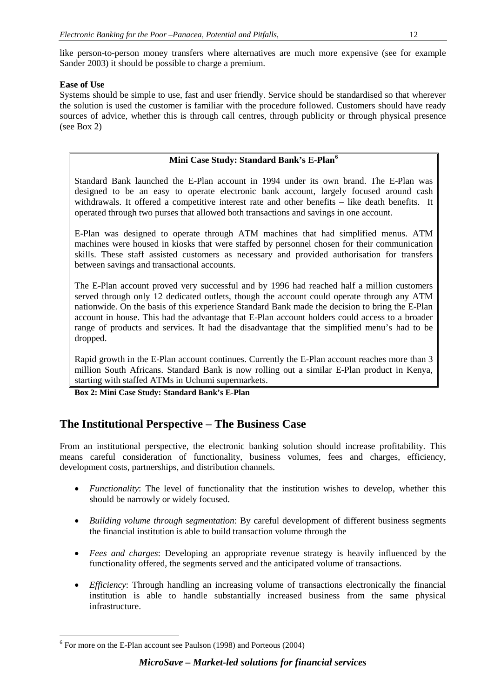like person-to-person money transfers where alternatives are much more expensive (see for example Sander 2003) it should be possible to charge a premium.

# **Ease of Use**

Systems should be simple to use, fast and user friendly. Service should be standardised so that wherever the solution is used the customer is familiar with the procedure followed. Customers should have ready sources of advice, whether this is through call centres, through publicity or through physical presence (see Box 2)

# **Mini Case Study: Standard Bank's E-Plan[6](#page-11-0)**

Standard Bank launched the E-Plan account in 1994 under its own brand. The E-Plan was designed to be an easy to operate electronic bank account, largely focused around cash withdrawals. It offered a competitive interest rate and other benefits – like death benefits. It operated through two purses that allowed both transactions and savings in one account.

E-Plan was designed to operate through ATM machines that had simplified menus. ATM machines were housed in kiosks that were staffed by personnel chosen for their communication skills. These staff assisted customers as necessary and provided authorisation for transfers between savings and transactional accounts.

The E-Plan account proved very successful and by 1996 had reached half a million customers served through only 12 dedicated outlets, though the account could operate through any ATM nationwide. On the basis of this experience Standard Bank made the decision to bring the E-Plan account in house. This had the advantage that E-Plan account holders could access to a broader range of products and services. It had the disadvantage that the simplified menu's had to be dropped.

Rapid growth in the E-Plan account continues. Currently the E-Plan account reaches more than 3 million South Africans. Standard Bank is now rolling out a similar E-Plan product in Kenya, starting with staffed ATMs in Uchumi supermarkets.

**Box 2: Mini Case Study: Standard Bank's E-Plan** 

# **The Institutional Perspective – The Business Case**

From an institutional perspective, the electronic banking solution should increase profitability. This means careful consideration of functionality, business volumes, fees and charges, efficiency, development costs, partnerships, and distribution channels.

- *Functionality*: The level of functionality that the institution wishes to develop, whether this should be narrowly or widely focused.
- *Building volume through segmentation*: By careful development of different business segments the financial institution is able to build transaction volume through the
- *Fees and charges*: Developing an appropriate revenue strategy is heavily influenced by the functionality offered, the segments served and the anticipated volume of transactions.
- *Efficiency*: Through handling an increasing volume of transactions electronically the financial institution is able to handle substantially increased business from the same physical infrastructure.

<span id="page-11-0"></span> $6$  For more on the E-Plan account see Paulson (1998) and Porteous (2004)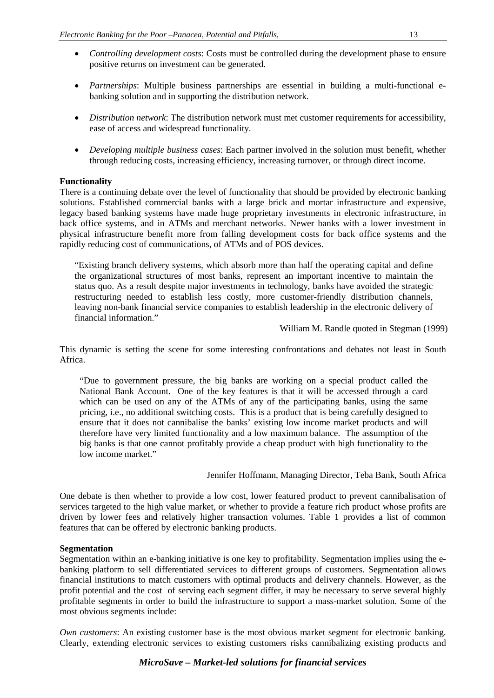- *Controlling development costs*: Costs must be controlled during the development phase to ensure positive returns on investment can be generated.
- *Partnerships*: Multiple business partnerships are essential in building a multi-functional ebanking solution and in supporting the distribution network.
- *Distribution network*: The distribution network must met customer requirements for accessibility, ease of access and widespread functionality.
- *Developing multiple business cases*: Each partner involved in the solution must benefit, whether through reducing costs, increasing efficiency, increasing turnover, or through direct income.

#### **Functionality**

There is a continuing debate over the level of functionality that should be provided by electronic banking solutions. Established commercial banks with a large brick and mortar infrastructure and expensive, legacy based banking systems have made huge proprietary investments in electronic infrastructure, in back office systems, and in ATMs and merchant networks. Newer banks with a lower investment in physical infrastructure benefit more from falling development costs for back office systems and the rapidly reducing cost of communications, of ATMs and of POS devices.

"Existing branch delivery systems, which absorb more than half the operating capital and define the organizational structures of most banks, represent an important incentive to maintain the status quo. As a result despite major investments in technology, banks have avoided the strategic restructuring needed to establish less costly, more customer-friendly distribution channels, leaving non-bank financial service companies to establish leadership in the electronic delivery of financial information."

William M. Randle quoted in Stegman (1999)

This dynamic is setting the scene for some interesting confrontations and debates not least in South Africa.

"Due to government pressure, the big banks are working on a special product called the National Bank Account. One of the key features is that it will be accessed through a card which can be used on any of the ATMs of any of the participating banks, using the same pricing, i.e., no additional switching costs. This is a product that is being carefully designed to ensure that it does not cannibalise the banks' existing low income market products and will therefore have very limited functionality and a low maximum balance. The assumption of the big banks is that one cannot profitably provide a cheap product with high functionality to the low income market."

Jennifer Hoffmann, Managing Director, Teba Bank, South Africa

One debate is then whether to provide a low cost, lower featured product to prevent cannibalisation of services targeted to the high value market, or whether to provide a feature rich product whose profits are driven by lower fees and relatively higher transaction volumes. Table 1 provides a list of common features that can be offered by electronic banking products.

#### **Segmentation**

Segmentation within an e-banking initiative is one key to profitability. Segmentation implies using the ebanking platform to sell differentiated services to different groups of customers. Segmentation allows financial institutions to match customers with optimal products and delivery channels. However, as the profit potential and the cost of serving each segment differ, it may be necessary to serve several highly profitable segments in order to build the infrastructure to support a mass-market solution. Some of the most obvious segments include:

*Own customers*: An existing customer base is the most obvious market segment for electronic banking. Clearly, extending electronic services to existing customers risks cannibalizing existing products and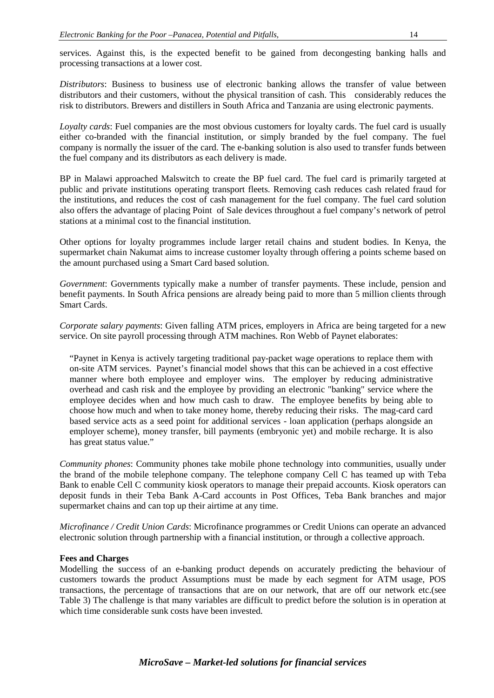services. Against this, is the expected benefit to be gained from decongesting banking halls and processing transactions at a lower cost.

*Distributors*: Business to business use of electronic banking allows the transfer of value between distributors and their customers, without the physical transition of cash. This considerably reduces the risk to distributors. Brewers and distillers in South Africa and Tanzania are using electronic payments.

*Loyalty cards*: Fuel companies are the most obvious customers for loyalty cards. The fuel card is usually either co-branded with the financial institution, or simply branded by the fuel company. The fuel company is normally the issuer of the card. The e-banking solution is also used to transfer funds between the fuel company and its distributors as each delivery is made.

BP in Malawi approached Malswitch to create the BP fuel card. The fuel card is primarily targeted at public and private institutions operating transport fleets. Removing cash reduces cash related fraud for the institutions, and reduces the cost of cash management for the fuel company. The fuel card solution also offers the advantage of placing Point of Sale devices throughout a fuel company's network of petrol stations at a minimal cost to the financial institution.

Other options for loyalty programmes include larger retail chains and student bodies. In Kenya, the supermarket chain Nakumat aims to increase customer loyalty through offering a points scheme based on the amount purchased using a Smart Card based solution.

*Government*: Governments typically make a number of transfer payments. These include, pension and benefit payments. In South Africa pensions are already being paid to more than 5 million clients through Smart Cards.

*Corporate salary payments*: Given falling ATM prices, employers in Africa are being targeted for a new service. On site payroll processing through ATM machines. Ron Webb of Paynet elaborates:

"Paynet in Kenya is actively targeting traditional pay-packet wage operations to replace them with on-site ATM services. Paynet's financial model shows that this can be achieved in a cost effective manner where both employee and employer wins. The employer by reducing administrative overhead and cash risk and the employee by providing an electronic "banking" service where the employee decides when and how much cash to draw. The employee benefits by being able to choose how much and when to take money home, thereby reducing their risks. The mag-card card based service acts as a seed point for additional services - loan application (perhaps alongside an employer scheme), money transfer, bill payments (embryonic yet) and mobile recharge. It is also has great status value."

*Community phones*: Community phones take mobile phone technology into communities, usually under the brand of the mobile telephone company. The telephone company Cell C has teamed up with Teba Bank to enable Cell C community kiosk operators to manage their prepaid accounts. Kiosk operators can deposit funds in their Teba Bank A-Card accounts in Post Offices, Teba Bank branches and major supermarket chains and can top up their airtime at any time.

*Microfinance / Credit Union Cards*: Microfinance programmes or Credit Unions can operate an advanced electronic solution through partnership with a financial institution, or through a collective approach.

#### **Fees and Charges**

Modelling the success of an e-banking product depends on accurately predicting the behaviour of customers towards the product Assumptions must be made by each segment for ATM usage, POS transactions, the percentage of transactions that are on our network, that are off our network etc.(see Table 3) The challenge is that many variables are difficult to predict before the solution is in operation at which time considerable sunk costs have been invested.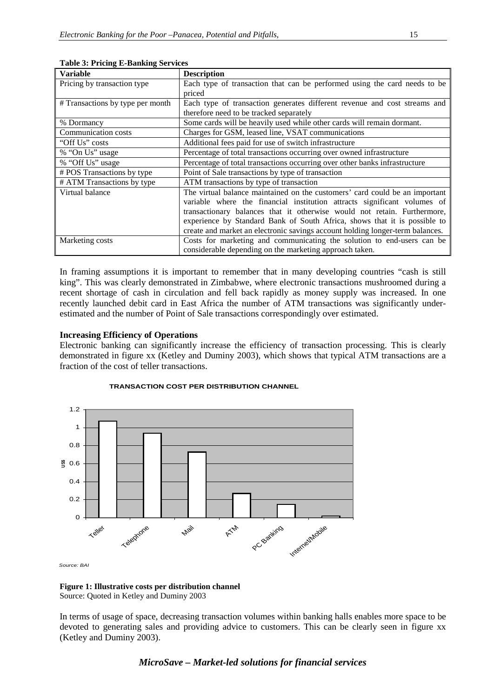| <b>Variable</b>                  | <b>Description</b>                                                            |  |  |
|----------------------------------|-------------------------------------------------------------------------------|--|--|
| Pricing by transaction type      | Each type of transaction that can be performed using the card needs to be     |  |  |
|                                  | priced                                                                        |  |  |
| # Transactions by type per month | Each type of transaction generates different revenue and cost streams and     |  |  |
|                                  | therefore need to be tracked separately                                       |  |  |
| % Dormancy                       | Some cards will be heavily used while other cards will remain dormant.        |  |  |
| Communication costs              | Charges for GSM, leased line, VSAT communications                             |  |  |
| "Off Us" costs                   | Additional fees paid for use of switch infrastructure                         |  |  |
| % "On Us" usage                  | Percentage of total transactions occurring over owned infrastructure          |  |  |
| % "Off Us" usage                 | Percentage of total transactions occurring over other banks infrastructure    |  |  |
| # POS Transactions by type       | Point of Sale transactions by type of transaction                             |  |  |
| # ATM Transactions by type       | ATM transactions by type of transaction                                       |  |  |
| Virtual balance                  | The virtual balance maintained on the customers' card could be an important   |  |  |
|                                  | variable where the financial institution attracts significant volumes of      |  |  |
|                                  | transactionary balances that it otherwise would not retain. Furthermore,      |  |  |
|                                  | experience by Standard Bank of South Africa, shows that it is possible to     |  |  |
|                                  | create and market an electronic savings account holding longer-term balances. |  |  |
| Marketing costs                  | Costs for marketing and communicating the solution to end-users can be        |  |  |
|                                  | considerable depending on the marketing approach taken.                       |  |  |

**Table 3: Pricing E-Banking Services**

In framing assumptions it is important to remember that in many developing countries "cash is still king". This was clearly demonstrated in Zimbabwe, where electronic transactions mushroomed during a recent shortage of cash in circulation and fell back rapidly as money supply was increased. In one recently launched debit card in East Africa the number of ATM transactions was significantly underestimated and the number of Point of Sale transactions correspondingly over estimated.

#### **Increasing Efficiency of Operations**

Electronic banking can significantly increase the efficiency of transaction processing. This is clearly demonstrated in figure xx (Ketley and Duminy 2003), which shows that typical ATM transactions are a fraction of the cost of teller transactions.



#### **TRANSACTION COST PER DISTRIBUTION CHANNEL**

**Figure 1: Illustrative costs per distribution channel** Source: Quoted in Ketley and Duminy 2003

In terms of usage of space, decreasing transaction volumes within banking halls enables more space to be devoted to generating sales and providing advice to customers. This can be clearly seen in figure xx (Ketley and Duminy 2003).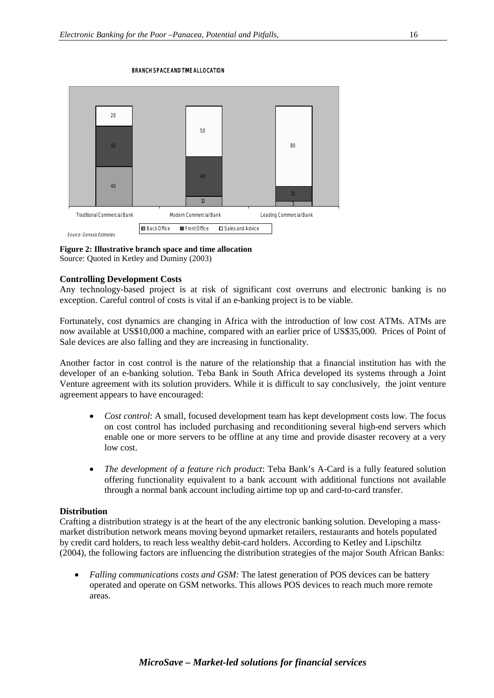#### BRANCH SPACE AND TIME ALLOCATION



#### **Figure 2: Illustrative branch space and time allocation**

Source: Quoted in Ketley and Duminy (2003)

#### **Controlling Development Costs**

Any technology-based project is at risk of significant cost overruns and electronic banking is no exception. Careful control of costs is vital if an e-banking project is to be viable.

Fortunately, cost dynamics are changing in Africa with the introduction of low cost ATMs. ATMs are now available at US\$10,000 a machine, compared with an earlier price of US\$35,000. Prices of Point of Sale devices are also falling and they are increasing in functionality.

Another factor in cost control is the nature of the relationship that a financial institution has with the developer of an e-banking solution. Teba Bank in South Africa developed its systems through a Joint Venture agreement with its solution providers. While it is difficult to say conclusively, the joint venture agreement appears to have encouraged:

- *Cost control*: A small, focused development team has kept development costs low. The focus on cost control has included purchasing and reconditioning several high-end servers which enable one or more servers to be offline at any time and provide disaster recovery at a very low cost.
- *The development of a feature rich product*: Teba Bank's A-Card is a fully featured solution offering functionality equivalent to a bank account with additional functions not available through a normal bank account including airtime top up and card-to-card transfer.

#### **Distribution**

Crafting a distribution strategy is at the heart of the any electronic banking solution. Developing a massmarket distribution network means moving beyond upmarket retailers, restaurants and hotels populated by credit card holders, to reach less wealthy debit-card holders. According to Ketley and Lipschiltz (2004), the following factors are influencing the distribution strategies of the major South African Banks:

• *Falling communications costs and GSM:* The latest generation of POS devices can be battery operated and operate on GSM networks. This allows POS devices to reach much more remote areas.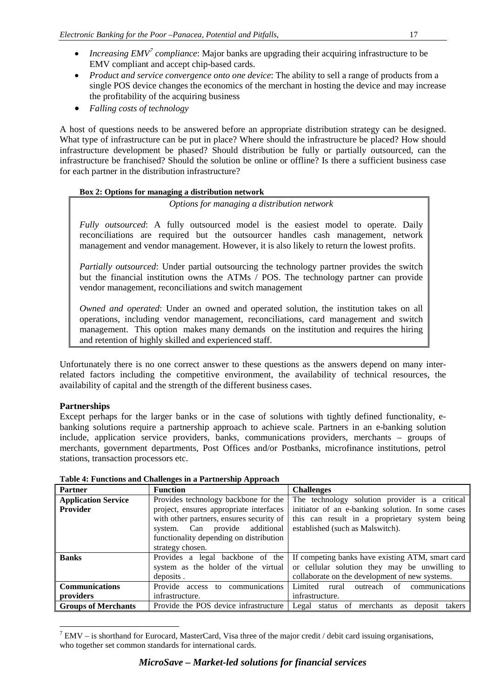- *Increasing EMV<sup>[7](#page-16-0)</sup> compliance*: Major banks are upgrading their acquiring infrastructure to be EMV compliant and accept chip-based cards.
- *Product and service convergence onto one device*: The ability to sell a range of products from a single POS device changes the economics of the merchant in hosting the device and may increase the profitability of the acquiring business
- *Falling costs of technology*

A host of questions needs to be answered before an appropriate distribution strategy can be designed. What type of infrastructure can be put in place? Where should the infrastructure be placed? How should infrastructure development be phased? Should distribution be fully or partially outsourced, can the infrastructure be franchised? Should the solution be online or offline? Is there a sufficient business case for each partner in the distribution infrastructure?

# **Box 2: Options for managing a distribution network**

*Options for managing a distribution network*

*Fully outsourced*: A fully outsourced model is the easiest model to operate. Daily reconciliations are required but the outsourcer handles cash management, network management and vendor management. However, it is also likely to return the lowest profits.

*Partially outsourced*: Under partial outsourcing the technology partner provides the switch but the financial institution owns the ATMs / POS. The technology partner can provide vendor management, reconciliations and switch management

*Owned and operated*: Under an owned and operated solution, the institution takes on all operations, including vendor management, reconciliations, card management and switch management. This option makes many demands on the institution and requires the hiring and retention of highly skilled and experienced staff.

Unfortunately there is no one correct answer to these questions as the answers depend on many interrelated factors including the competitive environment, the availability of technical resources, the availability of capital and the strength of the different business cases.

# **Partnerships**

Except perhaps for the larger banks or in the case of solutions with tightly defined functionality, ebanking solutions require a partnership approach to achieve scale. Partners in an e-banking solution include, application service providers, banks, communications providers, merchants – groups of merchants, government departments, Post Offices and/or Postbanks, microfinance institutions, petrol stations, transaction processors etc.

| <b>Partner</b>             | <b>Function</b>                          | <b>Challenges</b>                                       |
|----------------------------|------------------------------------------|---------------------------------------------------------|
| <b>Application Service</b> | Provides technology backbone for the     | The technology solution provider is a critical          |
| <b>Provider</b>            | project, ensures appropriate interfaces  | initiator of an e-banking solution. In some cases       |
|                            | with other partners, ensures security of | this can result in a proprietary system being           |
|                            | provide additional<br>system. Can        | established (such as Malswitch).                        |
|                            | functionality depending on distribution  |                                                         |
|                            | strategy chosen.                         |                                                         |
| <b>Banks</b>               | Provides a legal backbone of the         | If competing banks have existing ATM, smart card        |
|                            | system as the holder of the virtual      | or cellular solution they may be unwilling to           |
|                            | deposits.                                | collaborate on the development of new systems.          |
| <b>Communications</b>      | Provide access to communications         | communications<br>outreach of<br>Limited rural          |
| providers                  | infrastructure.                          | infrastructure.                                         |
| <b>Groups of Merchants</b> | Provide the POS device infrastructure    | status of merchants<br>Legal<br>deposit<br>takers<br>as |

**Table 4: Functions and Challenges in a Partnership Approach**

<span id="page-16-0"></span> $7$  EMV – is shorthand for Eurocard, MasterCard, Visa three of the major credit / debit card issuing organisations, who together set common standards for international cards.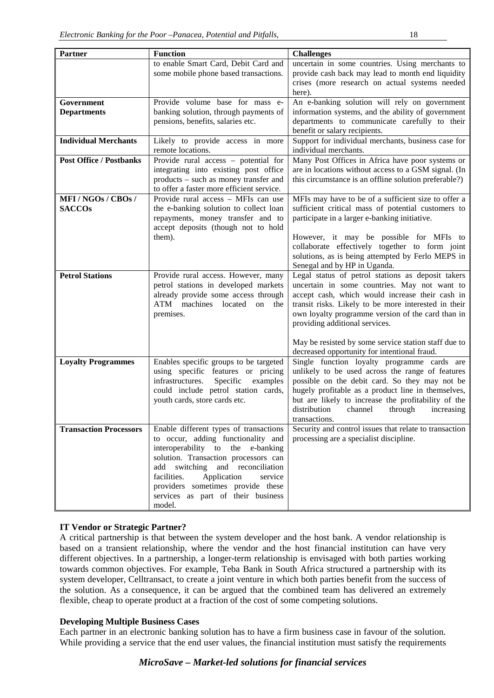| <b>Partner</b>                 | <b>Function</b>                                                                  | <b>Challenges</b>                                                                                 |
|--------------------------------|----------------------------------------------------------------------------------|---------------------------------------------------------------------------------------------------|
|                                | to enable Smart Card, Debit Card and                                             | uncertain in some countries. Using merchants to                                                   |
|                                | some mobile phone based transactions.                                            | provide cash back may lead to month end liquidity                                                 |
|                                |                                                                                  | crises (more research on actual systems needed                                                    |
| Government                     | Provide volume base for mass e-                                                  | here).<br>An e-banking solution will rely on government                                           |
| <b>Departments</b>             | banking solution, through payments of                                            | information systems, and the ability of government                                                |
|                                | pensions, benefits, salaries etc.                                                | departments to communicate carefully to their                                                     |
|                                |                                                                                  | benefit or salary recipients.                                                                     |
| <b>Individual Merchants</b>    | Likely to provide access in more                                                 | Support for individual merchants, business case for                                               |
|                                | remote locations.                                                                | individual merchants.                                                                             |
| <b>Post Office / Postbanks</b> | Provide rural access – potential for                                             | Many Post Offices in Africa have poor systems or                                                  |
|                                | integrating into existing post office                                            | are in locations without access to a GSM signal. (In                                              |
|                                | products - such as money transfer and                                            | this circumstance is an offline solution preferable?)                                             |
| MFI/NGOs/CBOs/                 | to offer a faster more efficient service.<br>Provide rural access - MFIs can use | MFIs may have to be of a sufficient size to offer a                                               |
| <b>SACCOs</b>                  | the e-banking solution to collect loan                                           | sufficient critical mass of potential customers to                                                |
|                                | repayments, money transfer and to                                                | participate in a larger e-banking initiative.                                                     |
|                                | accept deposits (though not to hold                                              |                                                                                                   |
|                                | them).                                                                           | However, it may be possible for MFIs to                                                           |
|                                |                                                                                  | collaborate effectively together to form joint                                                    |
|                                |                                                                                  | solutions, as is being attempted by Ferlo MEPS in                                                 |
|                                |                                                                                  | Senegal and by HP in Uganda.                                                                      |
| <b>Petrol Stations</b>         | Provide rural access. However, many<br>petrol stations in developed markets      | Legal status of petrol stations as deposit takers<br>uncertain in some countries. May not want to |
|                                | already provide some access through                                              | accept cash, which would increase their cash in                                                   |
|                                | ATM<br>machines located on the                                                   | transit risks. Likely to be more interested in their                                              |
|                                | premises.                                                                        | own loyalty programme version of the card than in                                                 |
|                                |                                                                                  | providing additional services.                                                                    |
|                                |                                                                                  |                                                                                                   |
|                                |                                                                                  | May be resisted by some service station staff due to                                              |
|                                |                                                                                  | decreased opportunity for intentional fraud.                                                      |
| <b>Loyalty Programmes</b>      | Enables specific groups to be targeted<br>using specific features or pricing     | Single function loyalty programme cards are<br>unlikely to be used across the range of features   |
|                                | examples<br>infrastructures.<br>Specific                                         | possible on the debit card. So they may not be                                                    |
|                                | could include petrol station cards,                                              | hugely profitable as a product line in themselves,                                                |
|                                | youth cards, store cards etc.                                                    | but are likely to increase the profitability of the                                               |
|                                |                                                                                  | distribution<br>channel<br>through<br>increasing                                                  |
|                                |                                                                                  | transactions.                                                                                     |
| <b>Transaction Processors</b>  | Enable different types of transactions                                           | Security and control issues that relate to transaction                                            |
|                                | to occur, adding functionality and                                               | processing are a specialist discipline.                                                           |
|                                | interoperability to the e-banking<br>solution. Transaction processors can        |                                                                                                   |
|                                | add switching and reconciliation                                                 |                                                                                                   |
|                                | facilities.<br>Application<br>service                                            |                                                                                                   |
|                                | providers sometimes provide these                                                |                                                                                                   |
|                                | services as part of their business                                               |                                                                                                   |
|                                | model.                                                                           |                                                                                                   |

# **IT Vendor or Strategic Partner?**

A critical partnership is that between the system developer and the host bank. A vendor relationship is based on a transient relationship, where the vendor and the host financial institution can have very different objectives. In a partnership, a longer-term relationship is envisaged with both parties working towards common objectives. For example, Teba Bank in South Africa structured a partnership with its system developer, Celltransact, to create a joint venture in which both parties benefit from the success of the solution. As a consequence, it can be argued that the combined team has delivered an extremely flexible, cheap to operate product at a fraction of the cost of some competing solutions.

## **Developing Multiple Business Cases**

Each partner in an electronic banking solution has to have a firm business case in favour of the solution. While providing a service that the end user values, the financial institution must satisfy the requirements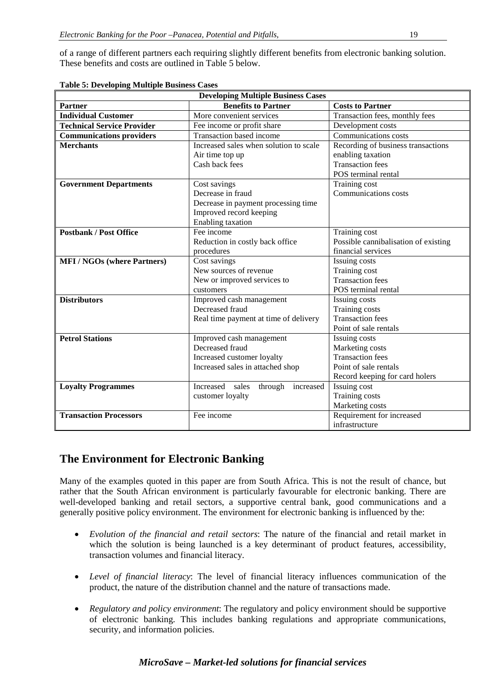of a range of different partners each requiring slightly different benefits from electronic banking solution. These benefits and costs are outlined in Table 5 below.

| <b>Developing Multiple Business Cases</b> |                                                                                                                          |                                                                                                                        |  |  |
|-------------------------------------------|--------------------------------------------------------------------------------------------------------------------------|------------------------------------------------------------------------------------------------------------------------|--|--|
| <b>Partner</b>                            | <b>Benefits to Partner</b>                                                                                               | <b>Costs to Partner</b>                                                                                                |  |  |
| <b>Individual Customer</b>                | More convenient services                                                                                                 | Transaction fees, monthly fees                                                                                         |  |  |
| <b>Technical Service Provider</b>         | Fee income or profit share                                                                                               | Development costs                                                                                                      |  |  |
| <b>Communications providers</b>           | Transaction based income                                                                                                 | Communications costs                                                                                                   |  |  |
| <b>Merchants</b>                          | Increased sales when solution to scale<br>Air time top up<br>Cash back fees                                              | Recording of business transactions<br>enabling taxation<br><b>Transaction fees</b><br>POS terminal rental              |  |  |
| <b>Government Departments</b>             | Cost savings<br>Decrease in fraud<br>Decrease in payment processing time<br>Improved record keeping<br>Enabling taxation | Training cost<br>Communications costs                                                                                  |  |  |
| <b>Postbank / Post Office</b>             | Fee income<br>Reduction in costly back office<br>procedures                                                              | Training cost<br>Possible cannibalisation of existing<br>financial services                                            |  |  |
| <b>MFI/NGOs (where Partners)</b>          | Cost savings<br>New sources of revenue<br>New or improved services to<br>customers                                       | Issuing costs<br>Training cost<br><b>Transaction fees</b><br>POS terminal rental                                       |  |  |
| <b>Distributors</b>                       | Improved cash management<br>Decreased fraud<br>Real time payment at time of delivery                                     | Issuing costs<br><b>Training costs</b><br><b>Transaction fees</b><br>Point of sale rentals                             |  |  |
| <b>Petrol Stations</b>                    | Improved cash management<br>Decreased fraud<br>Increased customer loyalty<br>Increased sales in attached shop            | Issuing costs<br>Marketing costs<br><b>Transaction fees</b><br>Point of sale rentals<br>Record keeping for card holers |  |  |
| <b>Loyalty Programmes</b>                 | Increased sales<br>through increased<br>customer loyalty                                                                 | Issuing cost<br>Training costs<br>Marketing costs                                                                      |  |  |
| <b>Transaction Processors</b>             | Fee income                                                                                                               | Requirement for increased<br>infrastructure                                                                            |  |  |

**Table 5: Developing Multiple Business Cases**

# **The Environment for Electronic Banking**

Many of the examples quoted in this paper are from South Africa. This is not the result of chance, but rather that the South African environment is particularly favourable for electronic banking. There are well-developed banking and retail sectors, a supportive central bank, good communications and a generally positive policy environment. The environment for electronic banking is influenced by the:

- *Evolution of the financial and retail sectors*: The nature of the financial and retail market in which the solution is being launched is a key determinant of product features, accessibility, transaction volumes and financial literacy.
- *Level of financial literacy*: The level of financial literacy influences communication of the product, the nature of the distribution channel and the nature of transactions made.
- *Regulatory and policy environment*: The regulatory and policy environment should be supportive of electronic banking. This includes banking regulations and appropriate communications, security, and information policies.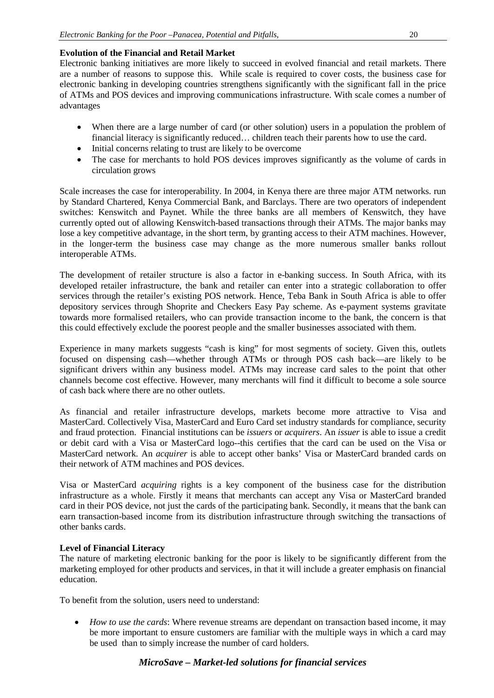# **Evolution of the Financial and Retail Market**

Electronic banking initiatives are more likely to succeed in evolved financial and retail markets. There are a number of reasons to suppose this. While scale is required to cover costs, the business case for electronic banking in developing countries strengthens significantly with the significant fall in the price of ATMs and POS devices and improving communications infrastructure. With scale comes a number of advantages

- When there are a large number of card (or other solution) users in a population the problem of financial literacy is significantly reduced… children teach their parents how to use the card.
- Initial concerns relating to trust are likely to be overcome
- The case for merchants to hold POS devices improves significantly as the volume of cards in circulation grows

Scale increases the case for interoperability. In 2004, in Kenya there are three major ATM networks. run by Standard Chartered, Kenya Commercial Bank, and Barclays. There are two operators of independent switches: Kenswitch and Paynet. While the three banks are all members of Kenswitch, they have currently opted out of allowing Kenswitch-based transactions through their ATMs. The major banks may lose a key competitive advantage, in the short term, by granting access to their ATM machines. However, in the longer-term the business case may change as the more numerous smaller banks rollout interoperable ATMs.

The development of retailer structure is also a factor in e-banking success. In South Africa, with its developed retailer infrastructure, the bank and retailer can enter into a strategic collaboration to offer services through the retailer's existing POS network. Hence, Teba Bank in South Africa is able to offer depository services through Shoprite and Checkers Easy Pay scheme. As e-payment systems gravitate towards more formalised retailers, who can provide transaction income to the bank, the concern is that this could effectively exclude the poorest people and the smaller businesses associated with them.

Experience in many markets suggests "cash is king" for most segments of society. Given this, outlets focused on dispensing cash—whether through ATMs or through POS cash back—are likely to be significant drivers within any business model. ATMs may increase card sales to the point that other channels become cost effective. However, many merchants will find it difficult to become a sole source of cash back where there are no other outlets.

As financial and retailer infrastructure develops, markets become more attractive to Visa and MasterCard. Collectively Visa, MasterCard and Euro Card set industry standards for compliance, security and fraud protection. Financial institutions can be *issuers* or *acquirers*. An *issuer* is able to issue a credit or debit card with a Visa or MasterCard logo--this certifies that the card can be used on the Visa or MasterCard network. An *acquirer* is able to accept other banks' Visa or MasterCard branded cards on their network of ATM machines and POS devices.

Visa or MasterCard *acquiring* rights is a key component of the business case for the distribution infrastructure as a whole. Firstly it means that merchants can accept any Visa or MasterCard branded card in their POS device, not just the cards of the participating bank. Secondly, it means that the bank can earn transaction-based income from its distribution infrastructure through switching the transactions of other banks cards.

# **Level of Financial Literacy**

The nature of marketing electronic banking for the poor is likely to be significantly different from the marketing employed for other products and services, in that it will include a greater emphasis on financial education.

To benefit from the solution, users need to understand:

• *How to use the cards*: Where revenue streams are dependant on transaction based income, it may be more important to ensure customers are familiar with the multiple ways in which a card may be used than to simply increase the number of card holders.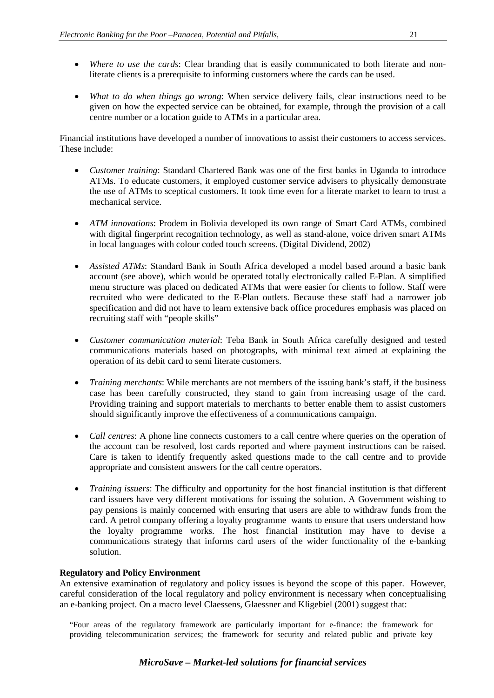- *Where to use the cards*: Clear branding that is easily communicated to both literate and nonliterate clients is a prerequisite to informing customers where the cards can be used.
- *What to do when things go wrong*: When service delivery fails, clear instructions need to be given on how the expected service can be obtained, for example, through the provision of a call centre number or a location guide to ATMs in a particular area.

Financial institutions have developed a number of innovations to assist their customers to access services. These include:

- *Customer training*: Standard Chartered Bank was one of the first banks in Uganda to introduce ATMs. To educate customers, it employed customer service advisers to physically demonstrate the use of ATMs to sceptical customers. It took time even for a literate market to learn to trust a mechanical service.
- *ATM innovations*: Prodem in Bolivia developed its own range of Smart Card ATMs, combined with digital fingerprint recognition technology, as well as stand-alone, voice driven smart ATMs in local languages with colour coded touch screens. (Digital Dividend, 2002)
- *Assisted ATMs*: Standard Bank in South Africa developed a model based around a basic bank account (see above), which would be operated totally electronically called E-Plan. A simplified menu structure was placed on dedicated ATMs that were easier for clients to follow. Staff were recruited who were dedicated to the E-Plan outlets. Because these staff had a narrower job specification and did not have to learn extensive back office procedures emphasis was placed on recruiting staff with "people skills"
- *Customer communication material*: Teba Bank in South Africa carefully designed and tested communications materials based on photographs, with minimal text aimed at explaining the operation of its debit card to semi literate customers.
- *Training merchants*: While merchants are not members of the issuing bank's staff, if the business case has been carefully constructed, they stand to gain from increasing usage of the card. Providing training and support materials to merchants to better enable them to assist customers should significantly improve the effectiveness of a communications campaign.
- *Call centres*: A phone line connects customers to a call centre where queries on the operation of the account can be resolved, lost cards reported and where payment instructions can be raised. Care is taken to identify frequently asked questions made to the call centre and to provide appropriate and consistent answers for the call centre operators.
- *Training issuers*: The difficulty and opportunity for the host financial institution is that different card issuers have very different motivations for issuing the solution. A Government wishing to pay pensions is mainly concerned with ensuring that users are able to withdraw funds from the card. A petrol company offering a loyalty programme wants to ensure that users understand how the loyalty programme works. The host financial institution may have to devise a communications strategy that informs card users of the wider functionality of the e-banking solution.

# **Regulatory and Policy Environment**

An extensive examination of regulatory and policy issues is beyond the scope of this paper. However, careful consideration of the local regulatory and policy environment is necessary when conceptualising an e-banking project. On a macro level Claessens, Glaessner and Kligebiel (2001) suggest that:

"Four areas of the regulatory framework are particularly important for e-finance: the framework for providing telecommunication services; the framework for security and related public and private key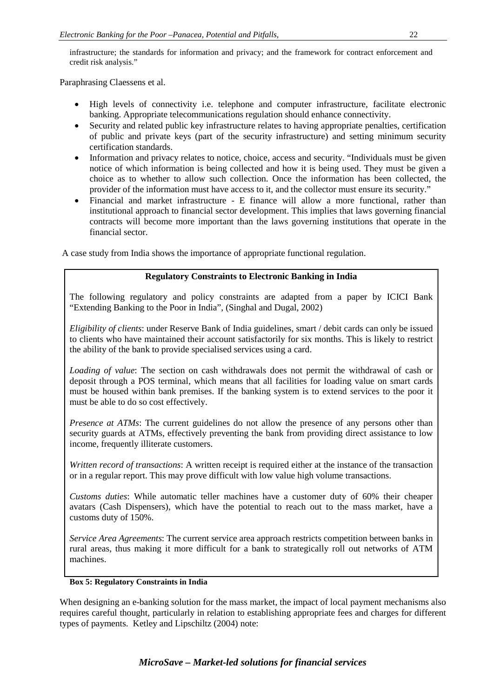infrastructure; the standards for information and privacy; and the framework for contract enforcement and credit risk analysis."

Paraphrasing Claessens et al.

- High levels of connectivity i.e. telephone and computer infrastructure, facilitate electronic banking. Appropriate telecommunications regulation should enhance connectivity.
- Security and related public key infrastructure relates to having appropriate penalties, certification of public and private keys (part of the security infrastructure) and setting minimum security certification standards.
- Information and privacy relates to notice, choice, access and security. "Individuals must be given notice of which information is being collected and how it is being used. They must be given a choice as to whether to allow such collection. Once the information has been collected, the provider of the information must have access to it, and the collector must ensure its security."
- Financial and market infrastructure E finance will allow a more functional, rather than institutional approach to financial sector development. This implies that laws governing financial contracts will become more important than the laws governing institutions that operate in the financial sector.

A case study from India shows the importance of appropriate functional regulation.

# **Regulatory Constraints to Electronic Banking in India**

The following regulatory and policy constraints are adapted from a paper by ICICI Bank "Extending Banking to the Poor in India", (Singhal and Dugal, 2002)

*Eligibility of clients*: under Reserve Bank of India guidelines, smart / debit cards can only be issued to clients who have maintained their account satisfactorily for six months. This is likely to restrict the ability of the bank to provide specialised services using a card.

*Loading of value*: The section on cash withdrawals does not permit the withdrawal of cash or deposit through a POS terminal, which means that all facilities for loading value on smart cards must be housed within bank premises. If the banking system is to extend services to the poor it must be able to do so cost effectively.

*Presence at ATMs*: The current guidelines do not allow the presence of any persons other than security guards at ATMs, effectively preventing the bank from providing direct assistance to low income, frequently illiterate customers.

*Written record of transactions*: A written receipt is required either at the instance of the transaction or in a regular report. This may prove difficult with low value high volume transactions.

*Customs duties*: While automatic teller machines have a customer duty of 60% their cheaper avatars (Cash Dispensers), which have the potential to reach out to the mass market, have a customs duty of 150%.

*Service Area Agreements*: The current service area approach restricts competition between banks in rural areas, thus making it more difficult for a bank to strategically roll out networks of ATM machines.

#### **Box 5: Regulatory Constraints in India**

When designing an e-banking solution for the mass market, the impact of local payment mechanisms also requires careful thought, particularly in relation to establishing appropriate fees and charges for different types of payments. Ketley and Lipschiltz (2004) note: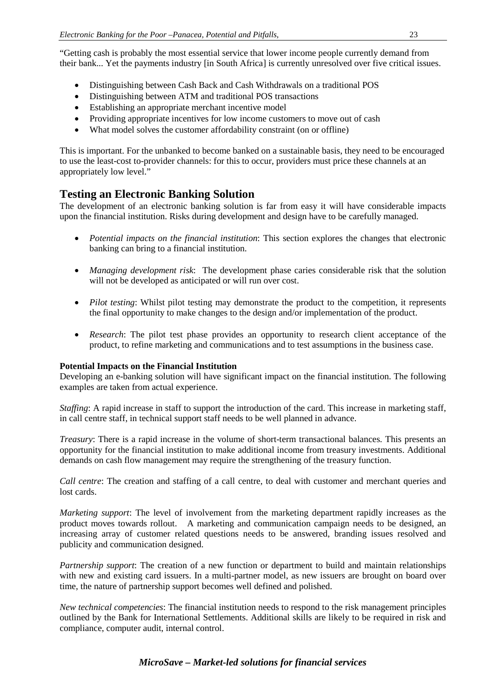"Getting cash is probably the most essential service that lower income people currently demand from their bank... Yet the payments industry [in South Africa] is currently unresolved over five critical issues.

- Distinguishing between Cash Back and Cash Withdrawals on a traditional POS
- Distinguishing between ATM and traditional POS transactions
- Establishing an appropriate merchant incentive model
- Providing appropriate incentives for low income customers to move out of cash
- What model solves the customer affordability constraint (on or offline)

This is important. For the unbanked to become banked on a sustainable basis, they need to be encouraged to use the least-cost to-provider channels: for this to occur, providers must price these channels at an appropriately low level."

# **Testing an Electronic Banking Solution**

The development of an electronic banking solution is far from easy it will have considerable impacts upon the financial institution. Risks during development and design have to be carefully managed.

- *Potential impacts on the financial institution*: This section explores the changes that electronic banking can bring to a financial institution.
- *Managing development risk*: The development phase caries considerable risk that the solution will not be developed as anticipated or will run over cost.
- *Pilot testing*: Whilst pilot testing may demonstrate the product to the competition, it represents the final opportunity to make changes to the design and/or implementation of the product.
- *Research*: The pilot test phase provides an opportunity to research client acceptance of the product, to refine marketing and communications and to test assumptions in the business case.

# **Potential Impacts on the Financial Institution**

Developing an e-banking solution will have significant impact on the financial institution. The following examples are taken from actual experience.

*Staffing*: A rapid increase in staff to support the introduction of the card. This increase in marketing staff, in call centre staff, in technical support staff needs to be well planned in advance.

*Treasury*: There is a rapid increase in the volume of short-term transactional balances. This presents an opportunity for the financial institution to make additional income from treasury investments. Additional demands on cash flow management may require the strengthening of the treasury function.

*Call centre*: The creation and staffing of a call centre, to deal with customer and merchant queries and lost cards.

*Marketing support*: The level of involvement from the marketing department rapidly increases as the product moves towards rollout. A marketing and communication campaign needs to be designed, an increasing array of customer related questions needs to be answered, branding issues resolved and publicity and communication designed.

*Partnership support*: The creation of a new function or department to build and maintain relationships with new and existing card issuers. In a multi-partner model, as new issuers are brought on board over time, the nature of partnership support becomes well defined and polished.

*New technical competencies*: The financial institution needs to respond to the risk management principles outlined by the Bank for International Settlements. Additional skills are likely to be required in risk and compliance, computer audit, internal control.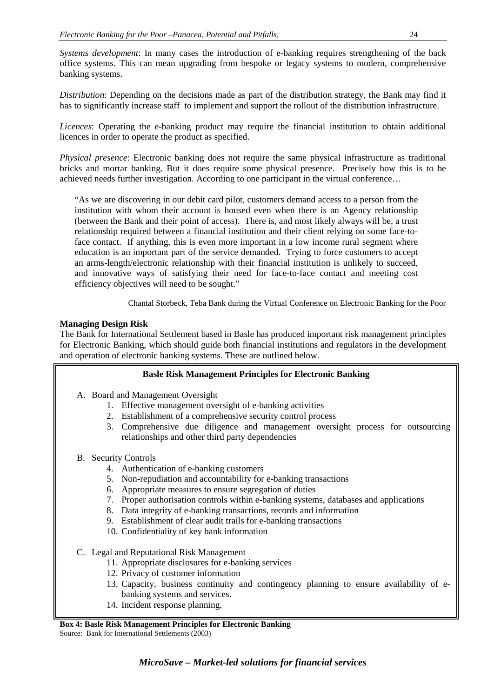*Systems development*: In many cases the introduction of e-banking requires strengthening of the back office systems. This can mean upgrading from bespoke or legacy systems to modern, comprehensive banking systems.

*Distribution*: Depending on the decisions made as part of the distribution strategy, the Bank may find it has to significantly increase staff to implement and support the rollout of the distribution infrastructure.

*Licences*: Operating the e-banking product may require the financial institution to obtain additional licences in order to operate the product as specified.

*Physical presence*: Electronic banking does not require the same physical infrastructure as traditional bricks and mortar banking. But it does require some physical presence. Precisely how this is to be achieved needs further investigation. According to one participant in the virtual conference…

"As we are discovering in our debit card pilot, customers demand access to a person from the institution with whom their account is housed even when there is an Agency relationship (between the Bank and their point of access). There is, and most likely always will be, a trust relationship required between a financial institution and their client relying on some face-toface contact. If anything, this is even more important in a low income rural segment where education is an important part of the service demanded. Trying to force customers to accept an arms-length/electronic relationship with their financial institution is unlikely to succeed, and innovative ways of satisfying their need for face-to-face contact and meeting cost efficiency objectives will need to be sought."

Chantal Storbeck, Teba Bank during the Virtual Conference on Electronic Banking for the Poor

#### **Managing Design Risk**

The Bank for International Settlement based in Basle has produced important risk management principles for Electronic Banking, which should guide both financial institutions and regulators in the development and operation of electronic banking systems. These are outlined below.

## **Basle Risk Management Principles for Electronic Banking**

- A. Board and Management Oversight
	- 1. Effective management oversight of e-banking activities
	- 2. Establishment of a comprehensive security control process
	- 3. Comprehensive due diligence and management oversight process for outsourcing relationships and other third party dependencies
- B. Security Controls
	- 4. Authentication of e-banking customers
	- 5. Non-repudiation and accountability for e-banking transactions
	- 6. Appropriate measures to ensure segregation of duties
	- 7. Proper authorisation controls within e-banking systems, databases and applications
	- 8. Data integrity of e-banking transactions, records and information
	- 9. Establishment of clear audit trails for e-banking transactions
	- 10. Confidentiality of key bank information
- C. Legal and Reputational Risk Management
	- 11. Appropriate disclosures for e-banking services
	- 12. Privacy of customer information
	- 13. Capacity, business continuity and contingency planning to ensure availability of ebanking systems and services.
	- 14. Incident response planning.

**Box 4: Basle Risk Management Principles for Electronic Banking** Source: Bank for International Settlements (2003)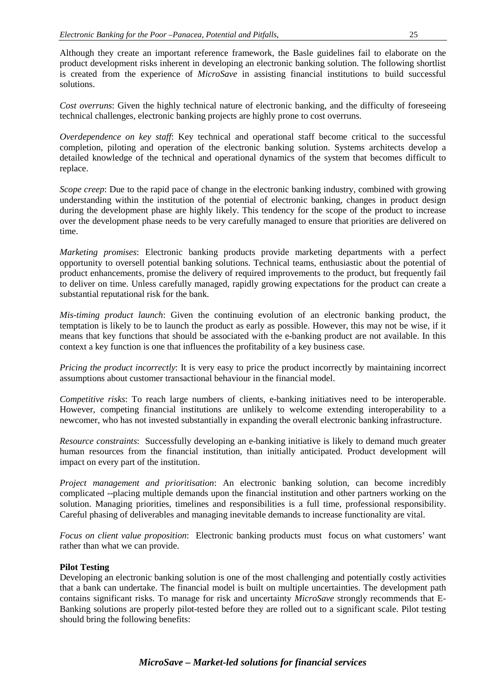Although they create an important reference framework, the Basle guidelines fail to elaborate on the product development risks inherent in developing an electronic banking solution. The following shortlist is created from the experience of *MicroSave* in assisting financial institutions to build successful solutions.

*Cost overruns*: Given the highly technical nature of electronic banking, and the difficulty of foreseeing technical challenges, electronic banking projects are highly prone to cost overruns.

*Overdependence on key staff*: Key technical and operational staff become critical to the successful completion, piloting and operation of the electronic banking solution. Systems architects develop a detailed knowledge of the technical and operational dynamics of the system that becomes difficult to replace.

*Scope creep*: Due to the rapid pace of change in the electronic banking industry, combined with growing understanding within the institution of the potential of electronic banking, changes in product design during the development phase are highly likely. This tendency for the scope of the product to increase over the development phase needs to be very carefully managed to ensure that priorities are delivered on time.

*Marketing promises*: Electronic banking products provide marketing departments with a perfect opportunity to oversell potential banking solutions. Technical teams, enthusiastic about the potential of product enhancements, promise the delivery of required improvements to the product, but frequently fail to deliver on time. Unless carefully managed, rapidly growing expectations for the product can create a substantial reputational risk for the bank.

*Mis-timing product launch*: Given the continuing evolution of an electronic banking product, the temptation is likely to be to launch the product as early as possible. However, this may not be wise, if it means that key functions that should be associated with the e-banking product are not available. In this context a key function is one that influences the profitability of a key business case.

*Pricing the product incorrectly*: It is very easy to price the product incorrectly by maintaining incorrect assumptions about customer transactional behaviour in the financial model.

*Competitive risks*: To reach large numbers of clients, e-banking initiatives need to be interoperable. However, competing financial institutions are unlikely to welcome extending interoperability to a newcomer, who has not invested substantially in expanding the overall electronic banking infrastructure.

*Resource constraints*: Successfully developing an e-banking initiative is likely to demand much greater human resources from the financial institution, than initially anticipated. Product development will impact on every part of the institution.

*Project management and prioritisation*: An electronic banking solution, can become incredibly complicated --placing multiple demands upon the financial institution and other partners working on the solution. Managing priorities, timelines and responsibilities is a full time, professional responsibility. Careful phasing of deliverables and managing inevitable demands to increase functionality are vital.

*Focus on client value proposition*: Electronic banking products must focus on what customers' want rather than what we can provide.

# **Pilot Testing**

Developing an electronic banking solution is one of the most challenging and potentially costly activities that a bank can undertake. The financial model is built on multiple uncertainties. The development path contains significant risks. To manage for risk and uncertainty *MicroSave* strongly recommends that E-Banking solutions are properly pilot-tested before they are rolled out to a significant scale. Pilot testing should bring the following benefits: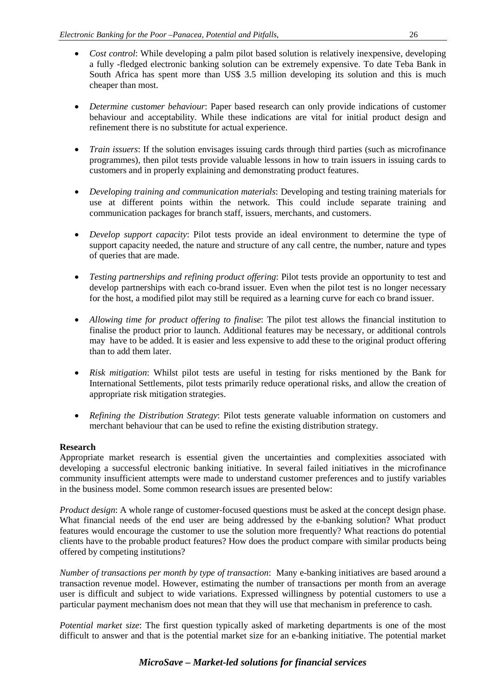- *Cost control*: While developing a palm pilot based solution is relatively inexpensive, developing a fully -fledged electronic banking solution can be extremely expensive. To date Teba Bank in South Africa has spent more than US\$ 3.5 million developing its solution and this is much cheaper than most.
- *Determine customer behaviour*: Paper based research can only provide indications of customer behaviour and acceptability. While these indications are vital for initial product design and refinement there is no substitute for actual experience.
- *Train issuers*: If the solution envisages issuing cards through third parties (such as microfinance programmes), then pilot tests provide valuable lessons in how to train issuers in issuing cards to customers and in properly explaining and demonstrating product features.
- *Developing training and communication materials*: Developing and testing training materials for use at different points within the network. This could include separate training and communication packages for branch staff, issuers, merchants, and customers.
- *Develop support capacity*: Pilot tests provide an ideal environment to determine the type of support capacity needed, the nature and structure of any call centre, the number, nature and types of queries that are made.
- *Testing partnerships and refining product offering*: Pilot tests provide an opportunity to test and develop partnerships with each co-brand issuer. Even when the pilot test is no longer necessary for the host, a modified pilot may still be required as a learning curve for each co brand issuer.
- *Allowing time for product offering to finalise*: The pilot test allows the financial institution to finalise the product prior to launch. Additional features may be necessary, or additional controls may have to be added. It is easier and less expensive to add these to the original product offering than to add them later.
- *Risk mitigation*: Whilst pilot tests are useful in testing for risks mentioned by the Bank for International Settlements, pilot tests primarily reduce operational risks, and allow the creation of appropriate risk mitigation strategies.
- *Refining the Distribution Strategy*: Pilot tests generate valuable information on customers and merchant behaviour that can be used to refine the existing distribution strategy.

## **Research**

Appropriate market research is essential given the uncertainties and complexities associated with developing a successful electronic banking initiative. In several failed initiatives in the microfinance community insufficient attempts were made to understand customer preferences and to justify variables in the business model. Some common research issues are presented below:

*Product design*: A whole range of customer-focused questions must be asked at the concept design phase. What financial needs of the end user are being addressed by the e-banking solution? What product features would encourage the customer to use the solution more frequently? What reactions do potential clients have to the probable product features? How does the product compare with similar products being offered by competing institutions?

*Number of transactions per month by type of transaction*: Many e-banking initiatives are based around a transaction revenue model. However, estimating the number of transactions per month from an average user is difficult and subject to wide variations. Expressed willingness by potential customers to use a particular payment mechanism does not mean that they will use that mechanism in preference to cash.

*Potential market size*: The first question typically asked of marketing departments is one of the most difficult to answer and that is the potential market size for an e-banking initiative. The potential market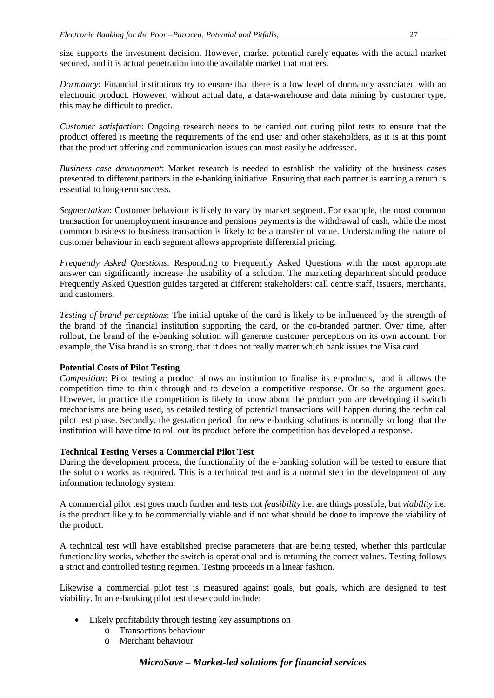size supports the investment decision. However, market potential rarely equates with the actual market secured, and it is actual penetration into the available market that matters.

*Dormancy*: Financial institutions try to ensure that there is a low level of dormancy associated with an electronic product. However, without actual data, a data-warehouse and data mining by customer type, this may be difficult to predict.

*Customer satisfaction*: Ongoing research needs to be carried out during pilot tests to ensure that the product offered is meeting the requirements of the end user and other stakeholders, as it is at this point that the product offering and communication issues can most easily be addressed.

*Business case development*: Market research is needed to establish the validity of the business cases presented to different partners in the e-banking initiative. Ensuring that each partner is earning a return is essential to long-term success.

*Segmentation*: Customer behaviour is likely to vary by market segment. For example, the most common transaction for unemployment insurance and pensions payments is the withdrawal of cash, while the most common business to business transaction is likely to be a transfer of value. Understanding the nature of customer behaviour in each segment allows appropriate differential pricing.

*Frequently Asked Questions*: Responding to Frequently Asked Questions with the most appropriate answer can significantly increase the usability of a solution. The marketing department should produce Frequently Asked Question guides targeted at different stakeholders: call centre staff, issuers, merchants, and customers.

*Testing of brand perceptions*: The initial uptake of the card is likely to be influenced by the strength of the brand of the financial institution supporting the card, or the co-branded partner. Over time, after rollout, the brand of the e-banking solution will generate customer perceptions on its own account. For example, the Visa brand is so strong, that it does not really matter which bank issues the Visa card.

## **Potential Costs of Pilot Testing**

*Competition*: Pilot testing a product allows an institution to finalise its e-products, and it allows the competition time to think through and to develop a competitive response. Or so the argument goes. However, in practice the competition is likely to know about the product you are developing if switch mechanisms are being used, as detailed testing of potential transactions will happen during the technical pilot test phase. Secondly, the gestation period for new e-banking solutions is normally so long that the institution will have time to roll out its product before the competition has developed a response.

#### **Technical Testing Verses a Commercial Pilot Test**

During the development process, the functionality of the e-banking solution will be tested to ensure that the solution works as required. This is a technical test and is a normal step in the development of any information technology system.

A commercial pilot test goes much further and tests not *feasibility* i.e. are things possible, but *viability* i.e. is the product likely to be commercially viable and if not what should be done to improve the viability of the product.

A technical test will have established precise parameters that are being tested, whether this particular functionality works, whether the switch is operational and is returning the correct values. Testing follows a strict and controlled testing regimen. Testing proceeds in a linear fashion.

Likewise a commercial pilot test is measured against goals, but goals, which are designed to test viability. In an e-banking pilot test these could include:

- Likely profitability through testing key assumptions on
	- o Transactions behaviour
	- o Merchant behaviour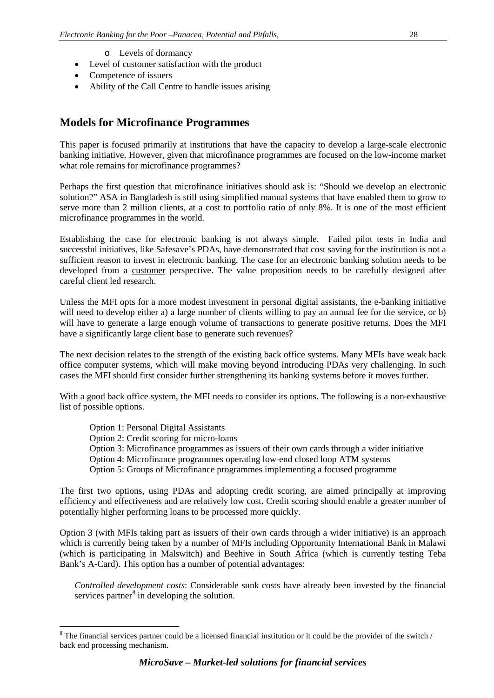- o Levels of dormancy
- Level of customer satisfaction with the product
- Competence of issuers
- Ability of the Call Centre to handle issues arising

# **Models for Microfinance Programmes**

This paper is focused primarily at institutions that have the capacity to develop a large-scale electronic banking initiative. However, given that microfinance programmes are focused on the low-income market what role remains for microfinance programmes?

Perhaps the first question that microfinance initiatives should ask is: "Should we develop an electronic solution?" ASA in Bangladesh is still using simplified manual systems that have enabled them to grow to serve more than 2 million clients, at a cost to portfolio ratio of only 8%. It is one of the most efficient microfinance programmes in the world.

Establishing the case for electronic banking is not always simple. Failed pilot tests in India and successful initiatives, like Safesave's PDAs, have demonstrated that cost saving for the institution is not a sufficient reason to invest in electronic banking. The case for an electronic banking solution needs to be developed from a customer perspective. The value proposition needs to be carefully designed after careful client led research.

Unless the MFI opts for a more modest investment in personal digital assistants, the e-banking initiative will need to develop either a) a large number of clients willing to pay an annual fee for the service, or b) will have to generate a large enough volume of transactions to generate positive returns. Does the MFI have a significantly large client base to generate such revenues?

The next decision relates to the strength of the existing back office systems. Many MFIs have weak back office computer systems, which will make moving beyond introducing PDAs very challenging. In such cases the MFI should first consider further strengthening its banking systems before it moves further.

With a good back office system, the MFI needs to consider its options. The following is a non-exhaustive list of possible options.

- Option 1: Personal Digital Assistants
- Option 2: Credit scoring for micro-loans
- Option 3: Microfinance programmes as issuers of their own cards through a wider initiative
- Option 4: Microfinance programmes operating low-end closed loop ATM systems
- Option 5: Groups of Microfinance programmes implementing a focused programme

The first two options, using PDAs and adopting credit scoring, are aimed principally at improving efficiency and effectiveness and are relatively low cost. Credit scoring should enable a greater number of potentially higher performing loans to be processed more quickly.

Option 3 (with MFIs taking part as issuers of their own cards through a wider initiative) is an approach which is currently being taken by a number of MFIs including Opportunity International Bank in Malawi (which is participating in Malswitch) and Beehive in South Africa (which is currently testing Teba Bank's A-Card). This option has a number of potential advantages:

*Controlled development costs*: Considerable sunk costs have already been invested by the financial services partner<sup>[8](#page-27-0)</sup> in developing the solution.

<span id="page-27-0"></span><sup>&</sup>lt;sup>8</sup> The financial services partner could be a licensed financial institution or it could be the provider of the switch / back end processing mechanism.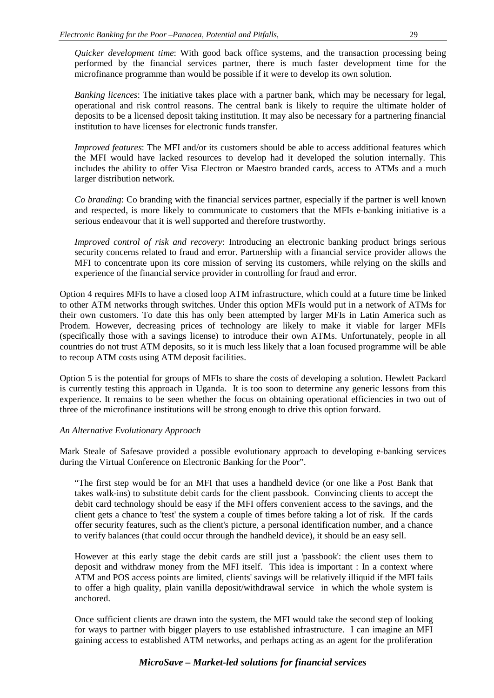*Quicker development time*: With good back office systems, and the transaction processing being performed by the financial services partner, there is much faster development time for the microfinance programme than would be possible if it were to develop its own solution.

*Banking licences*: The initiative takes place with a partner bank, which may be necessary for legal, operational and risk control reasons. The central bank is likely to require the ultimate holder of deposits to be a licensed deposit taking institution. It may also be necessary for a partnering financial institution to have licenses for electronic funds transfer.

*Improved features*: The MFI and/or its customers should be able to access additional features which the MFI would have lacked resources to develop had it developed the solution internally. This includes the ability to offer Visa Electron or Maestro branded cards, access to ATMs and a much larger distribution network.

*Co branding*: Co branding with the financial services partner, especially if the partner is well known and respected, is more likely to communicate to customers that the MFIs e-banking initiative is a serious endeavour that it is well supported and therefore trustworthy.

*Improved control of risk and recovery*: Introducing an electronic banking product brings serious security concerns related to fraud and error. Partnership with a financial service provider allows the MFI to concentrate upon its core mission of serving its customers, while relying on the skills and experience of the financial service provider in controlling for fraud and error.

Option 4 requires MFIs to have a closed loop ATM infrastructure, which could at a future time be linked to other ATM networks through switches. Under this option MFIs would put in a network of ATMs for their own customers. To date this has only been attempted by larger MFIs in Latin America such as Prodem. However, decreasing prices of technology are likely to make it viable for larger MFIs (specifically those with a savings license) to introduce their own ATMs. Unfortunately, people in all countries do not trust ATM deposits, so it is much less likely that a loan focused programme will be able to recoup ATM costs using ATM deposit facilities.

Option 5 is the potential for groups of MFIs to share the costs of developing a solution. Hewlett Packard is currently testing this approach in Uganda. It is too soon to determine any generic lessons from this experience. It remains to be seen whether the focus on obtaining operational efficiencies in two out of three of the microfinance institutions will be strong enough to drive this option forward.

#### *An Alternative Evolutionary Approach*

Mark Steale of Safesave provided a possible evolutionary approach to developing e-banking services during the Virtual Conference on Electronic Banking for the Poor".

"The first step would be for an MFI that uses a handheld device (or one like a Post Bank that takes walk-ins) to substitute debit cards for the client passbook. Convincing clients to accept the debit card technology should be easy if the MFI offers convenient access to the savings, and the client gets a chance to 'test' the system a couple of times before taking a lot of risk. If the cards offer security features, such as the client's picture, a personal identification number, and a chance to verify balances (that could occur through the handheld device), it should be an easy sell.

However at this early stage the debit cards are still just a 'passbook': the client uses them to deposit and withdraw money from the MFI itself. This idea is important : In a context where ATM and POS access points are limited, clients' savings will be relatively illiquid if the MFI fails to offer a high quality, plain vanilla deposit/withdrawal service in which the whole system is anchored.

Once sufficient clients are drawn into the system, the MFI would take the second step of looking for ways to partner with bigger players to use established infrastructure. I can imagine an MFI gaining access to established ATM networks, and perhaps acting as an agent for the proliferation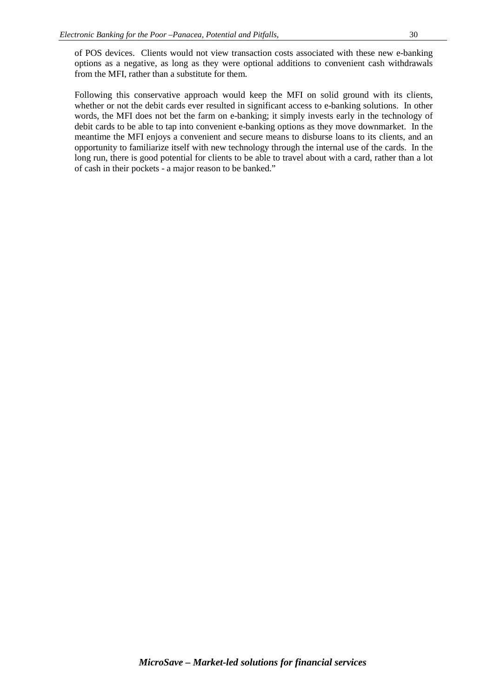of POS devices. Clients would not view transaction costs associated with these new e-banking options as a negative, as long as they were optional additions to convenient cash withdrawals from the MFI, rather than a substitute for them.

Following this conservative approach would keep the MFI on solid ground with its clients, whether or not the debit cards ever resulted in significant access to e-banking solutions. In other words, the MFI does not bet the farm on e-banking; it simply invests early in the technology of debit cards to be able to tap into convenient e-banking options as they move downmarket. In the meantime the MFI enjoys a convenient and secure means to disburse loans to its clients, and an opportunity to familiarize itself with new technology through the internal use of the cards. In the long run, there is good potential for clients to be able to travel about with a card, rather than a lot of cash in their pockets - a major reason to be banked."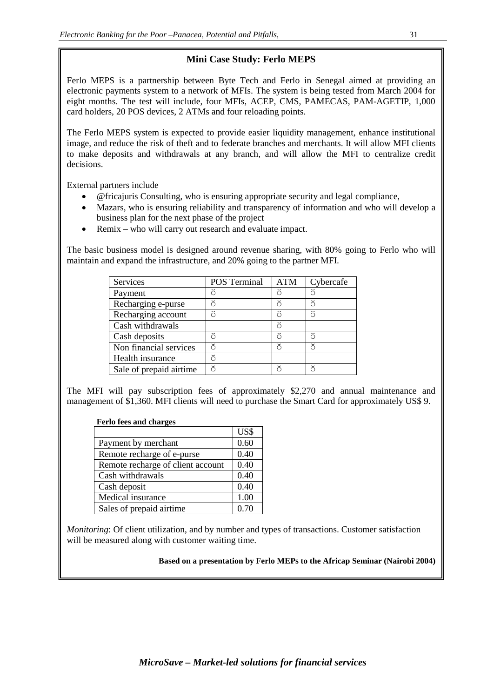# **Mini Case Study: Ferlo MEPS**

Ferlo MEPS is a partnership between Byte Tech and Ferlo in Senegal aimed at providing an electronic payments system to a network of MFIs. The system is being tested from March 2004 for eight months. The test will include, four MFIs, ACEP, CMS, PAMECAS, PAM-AGETIP, 1,000 card holders, 20 POS devices, 2 ATMs and four reloading points.

The Ferlo MEPS system is expected to provide easier liquidity management, enhance institutional image, and reduce the risk of theft and to federate branches and merchants. It will allow MFI clients to make deposits and withdrawals at any branch, and will allow the MFI to centralize credit decisions.

External partners include

- @fricajuris Consulting, who is ensuring appropriate security and legal compliance,
- Mazars, who is ensuring reliability and transparency of information and who will develop a business plan for the next phase of the project
- Remix who will carry out research and evaluate impact.

The basic business model is designed around revenue sharing, with 80% going to Ferlo who will maintain and expand the infrastructure, and 20% going to the partner MFI.

| Services                | <b>POS</b> Terminal | <b>ATM</b> | Cybercafe |
|-------------------------|---------------------|------------|-----------|
| Payment                 | ŏ                   | ŏ          | గ         |
| Recharging e-purse      | ă                   | ă          |           |
| Recharging account      | ă                   |            | ă         |
| Cash withdrawals        |                     | ŏ          |           |
| Cash deposits           | ă                   | ă          |           |
| Non financial services  | ŏ                   | ă          | ă         |
| Health insurance        | ŏ                   |            |           |
| Sale of prepaid airtime | ă                   |            |           |

The MFI will pay subscription fees of approximately \$2,270 and annual maintenance and management of \$1,360. MFI clients will need to purchase the Smart Card for approximately US\$ 9.

# **Ferlo fees and charges**

|                                   | US\$ |
|-----------------------------------|------|
| Payment by merchant               | 0.60 |
| Remote recharge of e-purse        | 0.40 |
| Remote recharge of client account | 0.40 |
| Cash withdrawals                  | 0.40 |
| Cash deposit                      | 0.40 |
| Medical insurance                 | 1.00 |
| Sales of prepaid airtime          | 0.70 |

*Monitoring*: Of client utilization, and by number and types of transactions. Customer satisfaction will be measured along with customer waiting time.

**Based on a presentation by Ferlo MEPs to the Africap Seminar (Nairobi 2004)**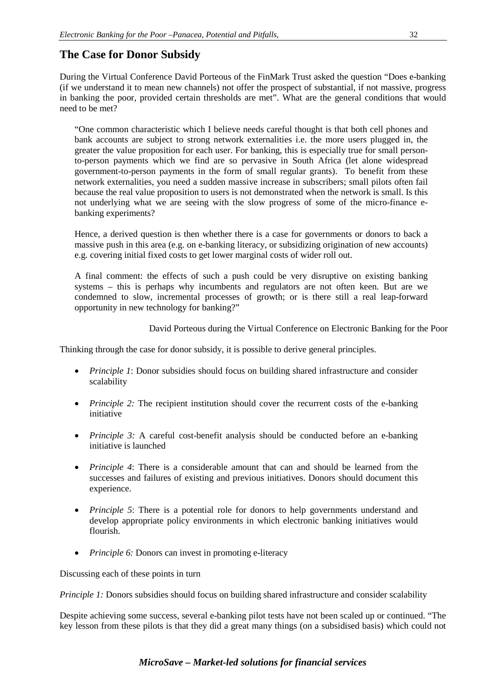# **The Case for Donor Subsidy**

During the Virtual Conference David Porteous of the FinMark Trust asked the question "Does e-banking (if we understand it to mean new channels) not offer the prospect of substantial, if not massive, progress in banking the poor, provided certain thresholds are met". What are the general conditions that would need to be met?

"One common characteristic which I believe needs careful thought is that both cell phones and bank accounts are subject to strong network externalities i.e. the more users plugged in, the greater the value proposition for each user. For banking, this is especially true for small personto-person payments which we find are so pervasive in South Africa (let alone widespread government-to-person payments in the form of small regular grants). To benefit from these network externalities, you need a sudden massive increase in subscribers; small pilots often fail because the real value proposition to users is not demonstrated when the network is small. Is this not underlying what we are seeing with the slow progress of some of the micro-finance ebanking experiments?

Hence, a derived question is then whether there is a case for governments or donors to back a massive push in this area (e.g. on e-banking literacy, or subsidizing origination of new accounts) e.g. covering initial fixed costs to get lower marginal costs of wider roll out.

A final comment: the effects of such a push could be very disruptive on existing banking systems – this is perhaps why incumbents and regulators are not often keen. But are we condemned to slow, incremental processes of growth; or is there still a real leap-forward opportunity in new technology for banking?"

David Porteous during the Virtual Conference on Electronic Banking for the Poor

Thinking through the case for donor subsidy, it is possible to derive general principles.

- *Principle 1*: Donor subsidies should focus on building shared infrastructure and consider scalability
- *Principle 2:* The recipient institution should cover the recurrent costs of the e-banking initiative
- *Principle 3:* A careful cost-benefit analysis should be conducted before an e-banking initiative is launched
- *Principle 4*: There is a considerable amount that can and should be learned from the successes and failures of existing and previous initiatives. Donors should document this experience.
- *Principle 5*: There is a potential role for donors to help governments understand and develop appropriate policy environments in which electronic banking initiatives would flourish.
- *Principle 6:* Donors can invest in promoting e-literacy

Discussing each of these points in turn

*Principle 1:* Donors subsidies should focus on building shared infrastructure and consider scalability

Despite achieving some success, several e-banking pilot tests have not been scaled up or continued. "The key lesson from these pilots is that they did a great many things (on a subsidised basis) which could not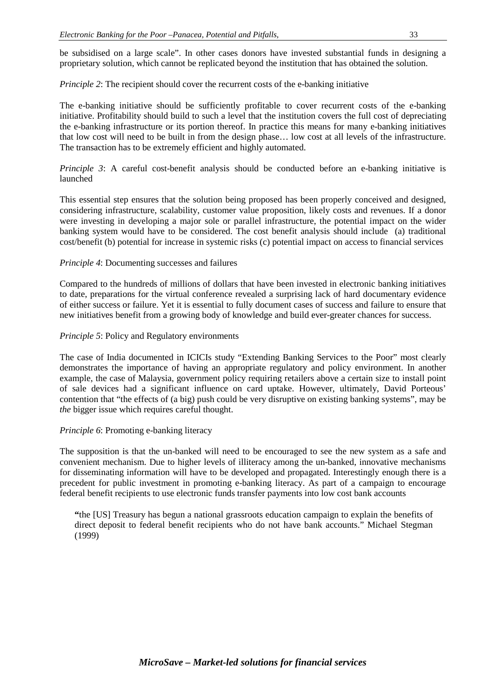be subsidised on a large scale". In other cases donors have invested substantial funds in designing a proprietary solution, which cannot be replicated beyond the institution that has obtained the solution.

*Principle 2*: The recipient should cover the recurrent costs of the e-banking initiative

The e-banking initiative should be sufficiently profitable to cover recurrent costs of the e-banking initiative. Profitability should build to such a level that the institution covers the full cost of depreciating the e-banking infrastructure or its portion thereof. In practice this means for many e-banking initiatives that low cost will need to be built in from the design phase… low cost at all levels of the infrastructure. The transaction has to be extremely efficient and highly automated.

*Principle 3*: A careful cost-benefit analysis should be conducted before an e-banking initiative is launched

This essential step ensures that the solution being proposed has been properly conceived and designed, considering infrastructure, scalability, customer value proposition, likely costs and revenues. If a donor were investing in developing a major sole or parallel infrastructure, the potential impact on the wider banking system would have to be considered. The cost benefit analysis should include (a) traditional cost/benefit (b) potential for increase in systemic risks (c) potential impact on access to financial services

#### *Principle 4*: Documenting successes and failures

Compared to the hundreds of millions of dollars that have been invested in electronic banking initiatives to date, preparations for the virtual conference revealed a surprising lack of hard documentary evidence of either success or failure. Yet it is essential to fully document cases of success and failure to ensure that new initiatives benefit from a growing body of knowledge and build ever-greater chances for success.

#### *Principle 5*: Policy and Regulatory environments

The case of India documented in ICICIs study "Extending Banking Services to the Poor" most clearly demonstrates the importance of having an appropriate regulatory and policy environment. In another example, the case of Malaysia, government policy requiring retailers above a certain size to install point of sale devices had a significant influence on card uptake. However, ultimately, David Porteous' contention that "the effects of (a big) push could be very disruptive on existing banking systems", may be *the* bigger issue which requires careful thought.

#### *Principle 6*: Promoting e-banking literacy

The supposition is that the un-banked will need to be encouraged to see the new system as a safe and convenient mechanism. Due to higher levels of illiteracy among the un-banked, innovative mechanisms for disseminating information will have to be developed and propagated. Interestingly enough there is a precedent for public investment in promoting e-banking literacy. As part of a campaign to encourage federal benefit recipients to use electronic funds transfer payments into low cost bank accounts

**"**the [US] Treasury has begun a national grassroots education campaign to explain the benefits of direct deposit to federal benefit recipients who do not have bank accounts." Michael Stegman (1999)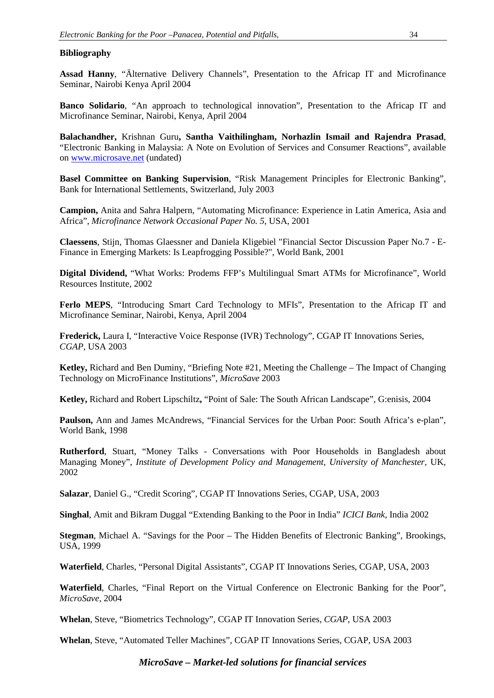## **Bibliography**

**Assad Hanny**, "Älternative Delivery Channels", Presentation to the Africap IT and Microfinance Seminar, Nairobi Kenya April 2004

**Banco Solidario**, "An approach to technological innovation", Presentation to the Africap IT and Microfinance Seminar, Nairobi, Kenya, April 2004

**Balachandher,** Krishnan Guru**, Santha Vaithilingham, Norhazlin Ismail and Rajendra Prasad**, "Electronic Banking in Malaysia: A Note on Evolution of Services and Consumer Reactions", available on [www.microsave.net](http://www.microsave.org/) (undated)

**Basel Committee on Banking Supervision**, "Risk Management Principles for Electronic Banking", Bank for International Settlements, Switzerland, July 2003

**Campion,** Anita and Sahra Halpern, "Automating Microfinance: Experience in Latin America, Asia and Africa", *Microfinance Network Occasional Paper No. 5*, USA, 2001

**Claessens**, Stijn, Thomas Glaessner and Daniela Kligebiel "Financial Sector Discussion Paper No.7 - E-Finance in Emerging Markets: Is Leapfrogging Possible?", World Bank, 2001

**Digital Dividend,** "What Works: Prodems FFP's Multilingual Smart ATMs for Microfinance", World Resources Institute, 2002

**Ferlo MEPS**, "Introducing Smart Card Technology to MFIs", Presentation to the Africap IT and Microfinance Seminar, Nairobi, Kenya, April 2004

**Frederick,** Laura I, "Interactive Voice Response (IVR) Technology", CGAP IT Innovations Series, *CGAP*, USA 2003

**Ketley,** Richard and Ben Duminy, "Briefing Note #21, Meeting the Challenge – The Impact of Changing Technology on MicroFinance Institutions", *MicroSave* 2003

**Ketley,** Richard and Robert Lipschiltz**,** "Point of Sale: The South African Landscape", G:enisis, 2004

**Paulson,** Ann and James McAndrews, "Financial Services for the Urban Poor: South Africa's e-plan", World Bank, 1998

**Rutherford**, Stuart, "Money Talks - Conversations with Poor Households in Bangladesh about Managing Money", *Institute of Development Policy and Management, University of Manchester*, UK, 2002

**Salazar**, Daniel G., "Credit Scoring", CGAP IT Innovations Series, CGAP, USA, 2003

**Singhal**, Amit and Bikram Duggal "Extending Banking to the Poor in India" *ICICI Bank,* India 2002

**Stegman**, Michael A. "Savings for the Poor – The Hidden Benefits of Electronic Banking", Brookings, USA, 1999

**Waterfield**, Charles, "Personal Digital Assistants", CGAP IT Innovations Series, CGAP, USA, 2003

**Waterfield**, Charles, "Final Report on the Virtual Conference on Electronic Banking for the Poor", *MicroSave,* 2004

**Whelan**, Steve, "Biometrics Technology", CGAP IT Innovation Series, *CGAP*, USA 2003

**Whelan**, Steve, "Automated Teller Machines", CGAP IT Innovations Series, CGAP, USA 2003